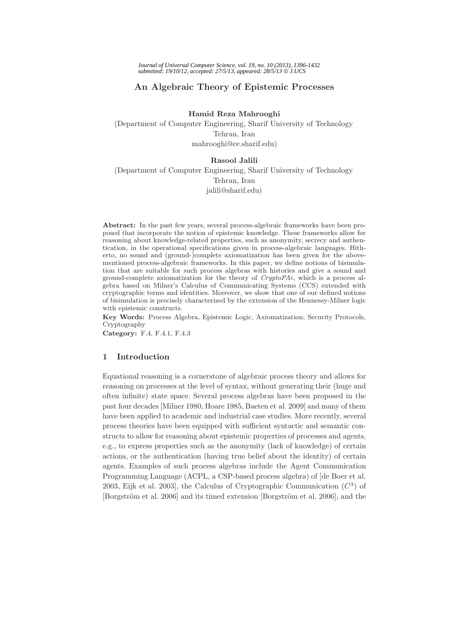# **An Algebraic Theory of Epistemic Processes**

**Hamid Reza Mahrooghi**

(Department of Computer Engineering, Sharif University of Technology Tehran, Iran mahrooghi@ce.sharif.edu)

## **Rasool Jalili**

(Department of Computer Engineering, Sharif University of Technology Tehran, Iran jalili@sharif.edu)

**Abstract:** In the past few years, several process-algebraic frameworks have been proposed that incorporate the notion of epistemic knowledge. These frameworks allow for reasoning about knowledge-related properties, such as anonymity, secrecy and authentication, in the operational specifications given in process-algebraic languages. Hitherto, no sound and (ground-)complete axiomatization has been given for the abovementioned process-algebraic frameworks. In this paper, we define notions of bisimulation that are suitable for such process algebras with histories and give a sound and ground-complete axiomatization for the theory of *CryptoPAi*, which is a process algebra based on Milner's Calculus of Communicating Systems (CCS) extended with cryptographic terms and identities. Moreover, we show that one of our defined notions of bisimulation is precisely characterized by the extension of the Hennessy-Milner logic with epistemic constructs.

**Key Words:** Process Algebra, Epistemic Logic, Axiomatization, Security Protocols, Cryptography

**Category:** F.4, F.4.1, F.4.3

# **1 Introduction**

Equational reasoning is a cornerstone of algebraic process theory and allows for reasoning on processes at the level of syntax, without generating their (huge and often infinite) state space. Several process algebras have been proposed in the past four decades [Milner 1980, Hoare 1985, Baeten et al. 2009] and many of them have been applied to academic and industrial case studies. More recently, several process theories have been equipped with sufficient syntactic and semantic constructs to allow for reasoning about epistemic properties of processes and agents, e.g., to express properties such as the anonymity (lack of knowledge) of certain actions, or the authentication (having true belief about the identity) of certain agents. Examples of such process algebras include the Agent Communication Programming Language (ACPL, a CSP-based process algebra) of [de Boer et al. 2003, Eijk et al. 2003], the Calculus of Cryptographic Communication  $(C^3)$  of [Borgström et al. 2006] and its timed extension [Borgström et al. 2006], and the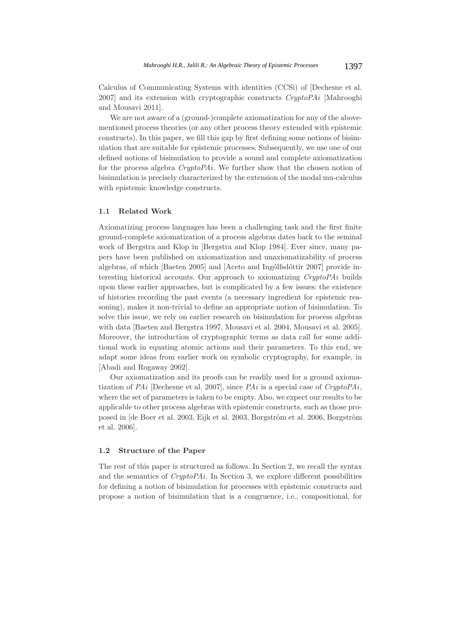Calculus of Communicating Systems with identities (CCSi) of [Dechesne et al. 2007] and its extension with cryptographic constructs *CryptoPAi* [Mahrooghi and Mousavi 2011].

We are not aware of a (ground-)complete axiomatization for any of the abovementioned process theories (or any other process theory extended with epistemic constructs). In this paper, we fill this gap by first defining some notions of bisimulation that are suitable for epistemic processes. Subsequently, we use one of our defined notions of bisimulation to provide a sound and complete axiomatization for the process algebra *CryptoPAi*. We further show that the chosen notion of bisimulation is precisely characterized by the extension of the modal mu-calculus with epistemic knowledge constructs.

## **1.1 Related Work**

Axiomatizing process languages has been a challenging task and the first finite ground-complete axiomatization of a process algebras dates back to the seminal work of Bergstra and Klop in [Bergstra and Klop 1984]. Ever since, many papers have been published on axiomatization and unaxiomatizability of process algebras, of which  $[Baeten 2005]$  and  $[Aceto and Ingólfsdóttir 2007]$  provide interesting historical accounts. Our approach to axiomatizing *CryptoPAi* builds upon these earlier approaches, but is complicated by a few issues: the existence of histories recording the past events (a necessary ingredient for epistemic reasoning), makes it non-trivial to define an appropriate notion of bisimulation. To solve this issue, we rely on earlier research on bisimulation for process algebras with data [Baeten and Bergstra 1997, Mousavi et al. 2004, Mousavi et al. 2005]. Moreover, the introduction of cryptographic terms as data call for some additional work in equating atomic actions and their parameters. To this end, we adapt some ideas from earlier work on symbolic cryptography, for example, in [Abadi and Rogaway 2002].

Our axiomatization and its proofs can be readily used for a ground axiomatization of *PAi* [Dechesne et al. 2007], since *PAi* is a special case of *CryptoPAi*, where the set of parameters is taken to be empty. Also, we expect our results to be applicable to other process algebras with epistemic constructs, such as those proposed in [de Boer et al. 2003, Eijk et al. 2003, Borgström et al. 2006, Borgström et al. 2006].

### **1.2 Structure of the Paper**

The rest of this paper is structured as follows. In Section 2, we recall the syntax and the semantics of *CryptoPAi*. In Section 3, we explore different possibilities for defining a notion of bisimulation for processes with epistemic constructs and propose a notion of bisimulation that is a congruence, i.e., compositional, for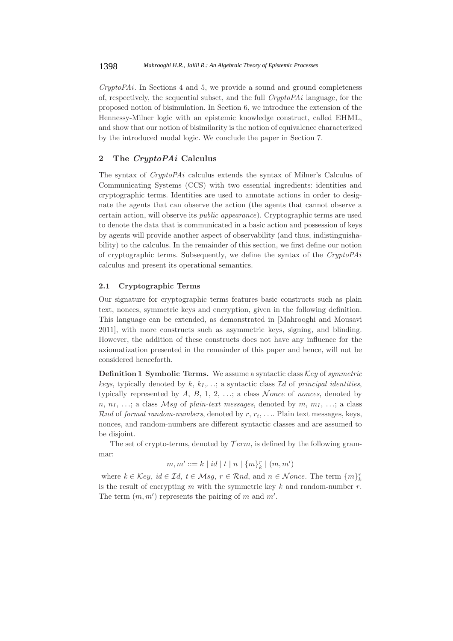*CryptoPAi*. In Sections 4 and 5, we provide a sound and ground completeness of, respectively, the sequential subset, and the full *CryptoPAi* language, for the proposed notion of bisimulation. In Section 6, we introduce the extension of the Hennessy-Milner logic with an epistemic knowledge construct, called EHML, and show that our notion of bisimilarity is the notion of equivalence characterized by the introduced modal logic. We conclude the paper in Section 7.

# **2 The** *CryptoPAi* **Calculus**

The syntax of *CryptoPAi* calculus extends the syntax of Milner's Calculus of Communicating Systems (CCS) with two essential ingredients: identities and cryptographic terms. Identities are used to annotate actions in order to designate the agents that can observe the action (the agents that cannot observe a certain action, will observe its *public appearance*). Cryptographic terms are used to denote the data that is communicated in a basic action and possession of keys by agents will provide another aspect of observability (and thus, indistinguishability) to the calculus. In the remainder of this section, we first define our notion of cryptographic terms. Subsequently, we define the syntax of the *CryptoPAi* calculus and present its operational semantics.

# **2.1 Cryptographic Terms**

Our signature for cryptographic terms features basic constructs such as plain text, nonces, symmetric keys and encryption, given in the following definition. This language can be extended, as demonstrated in [Mahrooghi and Mousavi 2011], with more constructs such as asymmetric keys, signing, and blinding. However, the addition of these constructs does not have any influence for the axiomatization presented in the remainder of this paper and hence, will not be considered henceforth.

**Definition 1 Symbolic Terms.** We assume a syntactic class Key of *symmetric keys*, typically denoted by k,  $k_1, \ldots$ ; a syntactic class Id of *principal identities*, typically represented by  $A, B, 1, 2, \ldots$ ; a class  $\mathcal{N}$  once of *nonces*, denoted by n,  $n_1, \ldots$ ; a class  $Msg$  of *plain-text messages*, denoted by  $m, m_1, \ldots$ ; a class Rnd of *formal random-numbers*, denoted by  $r, r_i, \ldots$  Plain text messages, keys, nonces, and random-numbers are different syntactic classes and are assumed to be disjoint.

The set of crypto-terms, denoted by  $Term$ , is defined by the following grammar:

$$
m, m' ::= k | id | t | n | \{m\}_{k}^{r} | (m, m')
$$

where  $k \in \mathcal{K}ey$ ,  $id \in \mathcal{I}d$ ,  $t \in \mathcal{M}sg$ ,  $r \in \mathcal{R}nd$ , and  $n \in \mathcal{N}once$ . The term  $\{m\}_{k}^{r}$ is the result of encrypting *m* with the symmetric key *k* and random-number r. The term  $(m, m')$  represents the pairing of m and m'.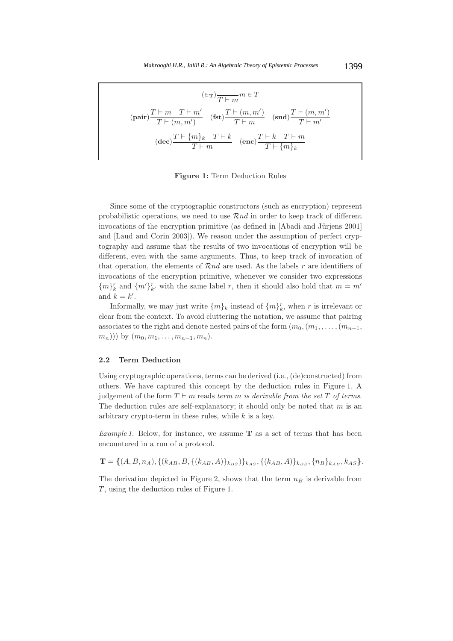$$
(\epsilon_{\mathbf{T}})\frac{T \vdash m \quad T \vdash m'}{T \vdash (m, m')} \quad (\text{fst})\frac{T \vdash (m, m')}{T \vdash m} \quad (\text{snd})\frac{T \vdash (m, m')}{T \vdash m'}
$$
\n
$$
(\text{dec})\frac{T \vdash \{m\}_k \quad T \vdash k}{T \vdash m} \quad (\text{enc})\frac{T \vdash k \quad T \vdash m}{T \vdash \{m\}_k}
$$

**Figure 1:** Term Deduction Rules

Since some of the cryptographic constructors (such as encryption) represent probabilistic operations, we need to use Rnd in order to keep track of different invocations of the encryption primitive (as defined in [Abadi and Jürjens 2001] and [Laud and Corin 2003]). We reason under the assumption of perfect cryptography and assume that the results of two invocations of encryption will be different, even with the same arguments. Thus, to keep track of invocation of that operation, the elements of  $\mathcal{R}nd$  are used. As the labels r are identifiers of invocations of the encryption primitive, whenever we consider two expressions  ${m}_{k}^{r}$  and  ${m'}_{k'}^{r}$  with the same label r, then it should also hold that  $m = m'$ and  $k = k'$ .

Informally, we may just write  $\{m\}_k$  instead of  $\{m\}_k^r$ , when r is irrelevant or clear from the context. To avoid cluttering the notation, we assume that pairing associates to the right and denote nested pairs of the form  $(m_0, (m_1, \ldots, (m_{n-1},$  $(m_n))$  by  $(m_0, m_1, \ldots, m_{n-1}, m_n)$ .

#### **2.2 Term Deduction**

Using cryptographic operations, terms can be derived (i.e., (de)constructed) from others. We have captured this concept by the deduction rules in Figure 1. A judgement of the form  $T \vdash m$  reads *term* m *is derivable from the set* T *of terms*. The deduction rules are self-explanatory; it should only be noted that  $m$  is an arbitrary crypto-term in these rules, while  $k$  is a key.

*Example 1.* Below, for instance, we assume **T** as a set of terms that has been encountered in a run of a protocol.

 $\mathbf{T} = \{(A, B, n_A), \{(k_{AB}, B, \{(k_{AB}, A)\}_{k_{BS}})\}_{k_{AS}}, \{(k_{AB}, A)\}_{k_{BS}}, \{n_B\}_{k_{AB}}, k_{AS}\}.$ 

The derivation depicted in Figure 2, shows that the term  $n_B$  is derivable from T, using the deduction rules of Figure 1.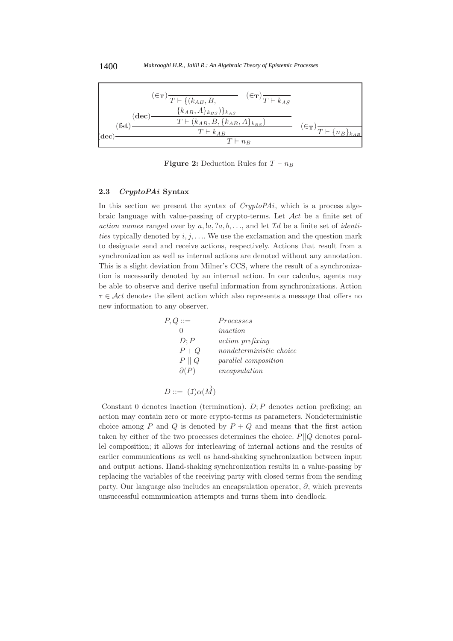

**Figure 2:** Deduction Rules for  $T \vdash n_B$ 

#### **2.3** *CryptoPAi* **Syntax**

In this section we present the syntax of *CryptoPAi*, which is a process algebraic language with value-passing of crypto-terms. Let  $\mathcal{A}ct$  be a finite set of *action names* ranged over by  $a, !a, ?a, b, \ldots$ , and let  $Id$  be a finite set of *identities* typically denoted by  $i, j, \ldots$ . We use the exclamation and the question mark to designate send and receive actions, respectively. Actions that result from a synchronization as well as internal actions are denoted without any annotation. This is a slight deviation from Milner's CCS, where the result of a synchronization is necessarily denoted by an internal action. In our calculus, agents may be able to observe and derive useful information from synchronizations. Action  $\tau \in \mathcal{A}ct$  denotes the silent action which also represents a message that offers no new information to any observer.

| $P,Q ::=$       | Processes                   |
|-----------------|-----------------------------|
|                 | <i>inaction</i>             |
| D: P            | <i>action</i> prefixing     |
| $P+Q$           | nondeterministic choice     |
| $P \parallel Q$ | <i>parallel composition</i> |
| $\partial(P)$   | encapsulation               |
|                 |                             |
|                 |                             |

$$
D ::= (J)\alpha(M)
$$

Constant 0 denotes inaction (termination).  $D$ ;  $P$  denotes action prefixing; an action may contain zero or more crypto-terms as parameters. Nondeterministic choice among P and Q is denoted by  $P + Q$  and means that the first action taken by either of the two processes determines the choice.  $P||Q$  denotes parallel composition; it allows for interleaving of internal actions and the results of earlier communications as well as hand-shaking synchronization between input and output actions. Hand-shaking synchronization results in a value-passing by replacing the variables of the receiving party with closed terms from the sending party. Our language also includes an encapsulation operator,  $\partial$ , which prevents unsuccessful communication attempts and turns them into deadlock.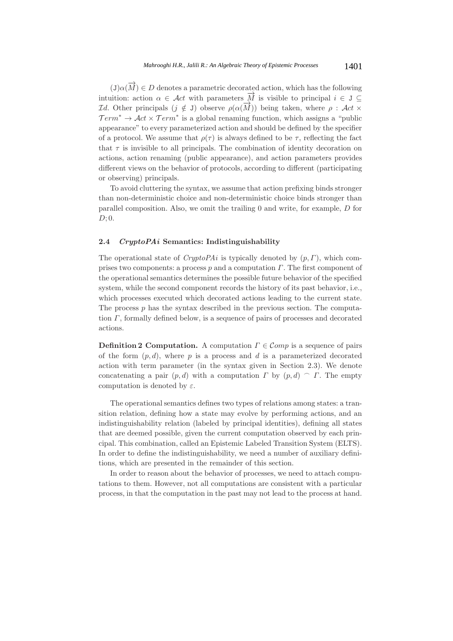$(\mathbf{J})\alpha(\overrightarrow{M}) \in D$  denotes a parametric decorated action, which has the following intuition: action  $\alpha \in \mathcal{A}ct$  with parameters  $\overrightarrow{M}$  is visible to principal  $i \in J \subseteq$ Id. Other principals  $(j \notin J)$  observe  $ρ(α(M))$  being taken, where  $ρ : Act \times$  $Term^* \rightarrow \mathcal{A}ct \times Term^*$  is a global renaming function, which assigns a "public appearance" to every parameterized action and should be defined by the specifier of a protocol. We assume that  $\rho(\tau)$  is always defined to be  $\tau$ , reflecting the fact that  $\tau$  is invisible to all principals. The combination of identity decoration on actions, action renaming (public appearance), and action parameters provides different views on the behavior of protocols, according to different (participating or observing) principals.

To avoid cluttering the syntax, we assume that action prefixing binds stronger than non-deterministic choice and non-deterministic choice binds stronger than parallel composition. Also, we omit the trailing 0 and write, for example, D for  $D$ ; 0.

### **2.4** *CryptoPAi* **Semantics: Indistinguishability**

The operational state of  $CryptoPAi$  is typically denoted by  $(p, \Gamma)$ , which comprises two components: a process  $p$  and a computation  $\Gamma$ . The first component of the operational semantics determines the possible future behavior of the specified system, while the second component records the history of its past behavior, i.e., which processes executed which decorated actions leading to the current state. The process  $p$  has the syntax described in the previous section. The computation  $\Gamma$ , formally defined below, is a sequence of pairs of processes and decorated actions.

**Definition 2 Computation.** A computation  $\Gamma \in \mathcal{C}$ *omp* is a sequence of pairs of the form  $(p, d)$ , where p is a process and d is a parameterized decorated action with term parameter (in the syntax given in Section 2.3). We denote concatenating a pair  $(p, d)$  with a computation  $\Gamma$  by  $(p, d) \cap \Gamma$ . The empty computation is denoted by  $\varepsilon$ .

The operational semantics defines two types of relations among states: a transition relation, defining how a state may evolve by performing actions, and an indistinguishability relation (labeled by principal identities), defining all states that are deemed possible, given the current computation observed by each principal. This combination, called an Epistemic Labeled Transition System (ELTS). In order to define the indistinguishability, we need a number of auxiliary definitions, which are presented in the remainder of this section.

In order to reason about the behavior of processes, we need to attach computations to them. However, not all computations are consistent with a particular process, in that the computation in the past may not lead to the process at hand.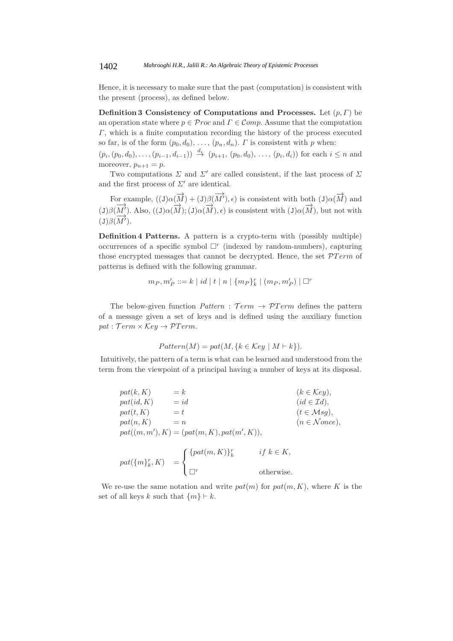Hence, it is necessary to make sure that the past (computation) is consistent with the present (process), as defined below.

**Definition 3 Consistency of Computations and Processes.** Let  $(p, \Gamma)$  be an operation state where  $p \in \mathcal{P}$ roc and  $\Gamma \in \mathcal{C}$ omp. Assume that the computation Γ, which is a finite computation recording the history of the process executed so far, is of the form  $(p_0, d_0), \ldots, (p_n, d_n)$ . *Γ* is consistent with *p* when:

 $(p_i,(p_0,d_0),\ldots,(p_{i-1},d_{i-1})) \stackrel{d_i}{\rightarrow} (p_{i+1}, (p_0,d_0),\ldots,(p_i,d_i))$  for each  $i \leq n$  and moreover,  $p_{n+1} = p$ .

Two computations  $\Sigma$  and  $\Sigma'$  are called consistent, if the last process of  $\Sigma$ and the first process of  $\Sigma'$  are identical.

For example,  $((J)\alpha(\overrightarrow{M}) + (J)\beta(\overrightarrow{M}'), \epsilon)$  is consistent with both  $(J)\alpha(\overrightarrow{M})$  and (J) $\beta(\overline{M}')$ . Also,  $((J)\alpha(\overline{M}); (J)\alpha(\overline{M}), \epsilon)$  is consistent with  $(J)\alpha(\overline{M})$ , but not with  $(J)\beta(\overrightarrow{M}).$ 

**Definition 4 Patterns.** A pattern is a crypto-term with (possibly multiple) occurrences of a specific symbol  $\Box^r$  (indexed by random-numbers), capturing those encrypted messages that cannot be decrypted. Hence, the set  $PTerm$  of patterns is defined with the following grammar.

$$
m_P, m'_P ::= k | id | t | n | \{ m_P \}_{k}^{r} | (m_P, m'_P) | \square^{r}
$$

The below-given function  $Pattern: Term \rightarrow PTerm$  defines the pattern of a message given a set of keys and is defined using the auxiliary function  $pat : Term \times Key \rightarrow PTerm.$ 

$$
Pattern(M) = pat(M, \{k \in Key \mid M \vdash k\}).
$$

Intuitively, the pattern of a term is what can be learned and understood from the term from the viewpoint of a principal having a number of keys at its disposal.

$$
pat(k, K) = k \qquad (k \in Key),
$$
  
\n
$$
pat(id, K) = id \qquad (id \in \mathcal{I}d),
$$
  
\n
$$
pat(n, K) = t \qquad (t \in Msg),
$$
  
\n
$$
pat(m, m'), K) = (pat(m, K), pat(m', K)),
$$
  
\n
$$
pat({m})^r_k, K) = \begin{cases} \{pat(m, K)\}^r_k & if k \in K, \\ \Box^r & otherwise. \end{cases}
$$

We re-use the same notation and write  $pat(m)$  for  $pat(m, K)$ , where K is the set of all keys k such that  $\{m\} \vdash k$ .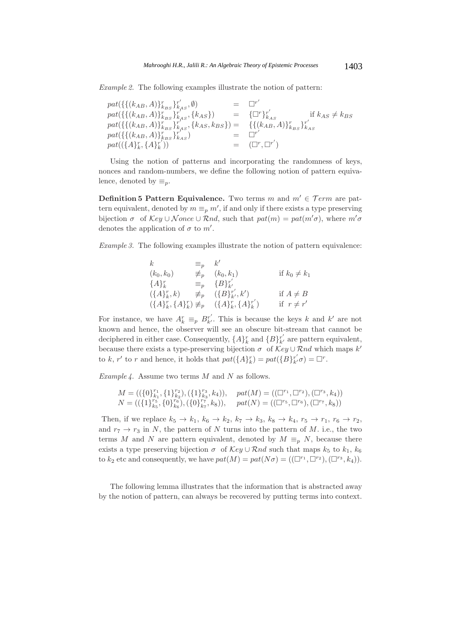*Example 2.* The following examples illustrate the notion of pattern:

| $pat({\{(k_{AB}, A)\}}_{k_{BS}}^{r})_{k_{AS}}^{r'}$ , Ø)                                                                        |                              |                         |
|---------------------------------------------------------------------------------------------------------------------------------|------------------------------|-------------------------|
| $pat(\{\{(k_{AB},A)\}_{k_{BS}}^r\}_{k_{AS}}^r, \{k_{AS}\})$                                                                     | $= \{\Box^r\}_{k_{AS}}^{r'}$ | if $k_{AS} \neq k_{BS}$ |
| $pat(\{\{(k_{AB},A)\}_{k_{BS}}^{r}\}_{k_{AS}}^{r^{**}},\{k_{AS},k_{BS}\}) = \{\{\{k_{AB},A)\}_{k_{BS}}^{r}\}_{k_{AS}}^{r^{'}},$ |                              |                         |
| $pat({\{(k_{AB}, A)\}}_{k_{BS}}^{r})_{k_{AS}}^{r'})$                                                                            |                              |                         |
| $pat((\lbrace A \rbrace_k^r, \lbrace A \rbrace_k^{r'}))$                                                                        | $=$ $(\Box^r, \Box^{r'})$    |                         |

Using the notion of patterns and incorporating the randomness of keys, nonces and random-numbers, we define the following notion of pattern equivalence, denoted by  $\equiv_p$ .

**Definition 5 Pattern Equivalence.** Two terms m and  $m' \in \mathcal{T}erm$  are pattern equivalent, denoted by  $m \equiv_p m'$ , if and only if there exists a type preserving bijection  $\sigma$  of  $Key \cup None \cup \mathcal{R}nd$ , such that  $pat(m) = pat(m'\sigma)$ , where  $m'\sigma$ denotes the application of  $\sigma$  to  $m'$ .

*Example 3.* The following examples illustrate the notion of pattern equivalence:

$$
k = p \t k'
$$
  
\n
$$
(k_0, k_0) \neq p \t (k_0, k_1) \t \text{if } k_0 \neq k_1
$$
  
\n
$$
\{A\}_k^r = p \{B\}_{k'}^{r'}
$$
  
\n
$$
(\{A\}_k^r, k) \neq p \t (\{B\}_{k'}^{r'}, k') \t \text{if } A \neq B
$$
  
\n
$$
(\{A\}_k^r, \{A\}_k^r) \neq p \t (\{A\}_k^r, \{A\}_k^{r'}) \t \text{if } r \neq r'
$$

For instance, we have  $A_k^r \equiv_p B_{k'}^{r'}$ . This is because the keys k and k' are not known and hence, the observer will see an obscure bit-stream that cannot be deciphered in either case. Consequently,  $\{A\}_k^r$  and  $\{B\}_{k'}^{r'}$  are pattern equivalent, because there exists a type-preserving bijection  $\sigma$  of  $\mathcal{K}ey \cup \mathcal{R}nd$  which maps  $k'$ to k, r' to r and hence, it holds that  $pat({A}^r)_k = pat({B}^r_k)'_{k'}\sigma$  =  $\Box^r$ .

*Example 4.* Assume two terms M and N as follows.

$$
M = ((\{0\}_{k_1}^{r_1}, \{1\}_{k_2}^{r_2}), (\{1\}_{k_3}^{r_3}, k_4)), \quad pat(M) = ((\Box^{r_1}, \Box^{r_2}), (\Box^{r_3}, k_4))
$$
  

$$
N = ((\{1\}_{k_5}^{r_5}, \{0\}_{k_6}^{r_6}), (\{0\}_{k_7}^{r_7}, k_8)), \quad pat(N) = ((\Box^{r_5}, \Box^{r_6}), (\Box^{r_7}, k_8))
$$

Then, if we replace  $k_5 \rightarrow k_1$ ,  $k_6 \rightarrow k_2$ ,  $k_7 \rightarrow k_3$ ,  $k_8 \rightarrow k_4$ ,  $r_5 \rightarrow r_1$ ,  $r_6 \rightarrow r_2$ , and  $r_7 \rightarrow r_3$  in N, the pattern of N turns into the pattern of M. i.e., the two terms M and N are pattern equivalent, denoted by  $M \equiv_p N$ , because there exists a type preserving bijection  $\sigma$  of Key ∪ Rnd such that maps  $k_5$  to  $k_1$ ,  $k_6$ to  $k_2$  etc and consequently, we have  $pat(M) = pat(N\sigma) = ((\Box^{r_1}, \Box^{r_2}), (\Box^{r_3}, k_4)).$ 

The following lemma illustrates that the information that is abstracted away by the notion of pattern, can always be recovered by putting terms into context.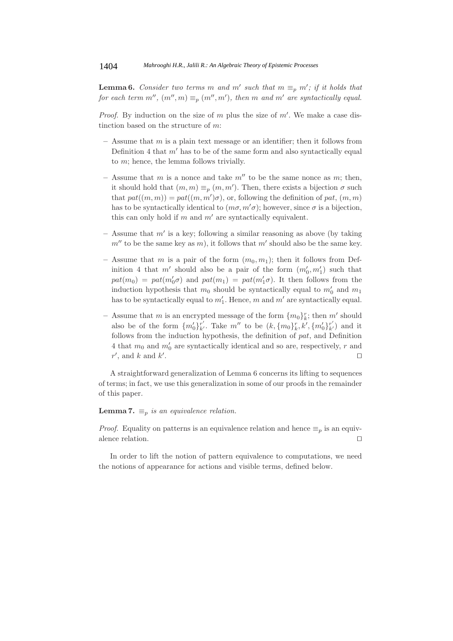**Lemma 6.** *Consider two terms* m and m' such that  $m \equiv_p m'$ ; if it holds that *for each term m''*,  $(m'', m) \equiv_p (m'', m')$ , then m and m' are syntactically equal.

*Proof.* By induction on the size of m plus the size of  $m'$ . We make a case distinction based on the structure of m:

- **–** Assume that m is a plain text message or an identifier; then it follows from Definition 4 that  $m'$  has to be of the same form and also syntactically equal to m; hence, the lemma follows trivially.
- $-$  Assume that m is a nonce and take  $m''$  to be the same nonce as m; then, it should hold that  $(m, m) \equiv_p (m, m')$ . Then, there exists a bijection  $\sigma$  such that  $pat((m, m)) = pat((m, m')\sigma)$ , or, following the definition of pat,  $(m, m)$ has to be syntactically identical to  $(m\sigma, m'\sigma)$ ; however, since  $\sigma$  is a bijection, this can only hold if  $m$  and  $m'$  are syntactically equivalent.
- Assume that m' is a key; following a similar reasoning as above (by taking  $m''$  to be the same key as m), it follows that m' should also be the same key.
- Assume that m is a pair of the form  $(m_0, m_1)$ ; then it follows from Definition 4 that  $m'$  should also be a pair of the form  $(m'_0, m'_1)$  such that  $pat(m_0) = pat(m'_0\sigma)$  and  $pat(m_1) = pat(m'_1\sigma)$ . It then follows from the induction hypothesis that  $m_0$  should be syntactically equal to  $m'_0$  and  $m_1$ has to be syntactically equal to  $m'_1$ . Hence, m and m' are syntactically equal.
- Assume that m is an encrypted message of the form  $\{m_0\}_k^r$ ; then m' should also be of the form  $\{m'_0\}_{k'}^{r'}$ . Take  $m''$  to be  $(k, \{m_0\}_{k}^{r}, k', \{m'_0\}_{k'}^{r'})$  and it follows from the induction hypothesis, the definition of pat, and Definition 4 that  $m_0$  and  $m'_0$  are syntactically identical and so are, respectively, r and  $r'$ , and k and  $k'$ . In the contract of the contract of the contract of the contract of the contract of the contract of the contract of the contract of the contract of the contract of the contract of the contract of the contract of the contr

A straightforward generalization of Lemma 6 concerns its lifting to sequences of terms; in fact, we use this generalization in some of our proofs in the remainder of this paper.

## **Lemma 7.**  $\equiv_p$  *is an equivalence relation.*

*Proof.* Equality on patterns is an equivalence relation and hence  $\equiv_p$  is an equivalence relation.  $\Box$ 

In order to lift the notion of pattern equivalence to computations, we need the notions of appearance for actions and visible terms, defined below.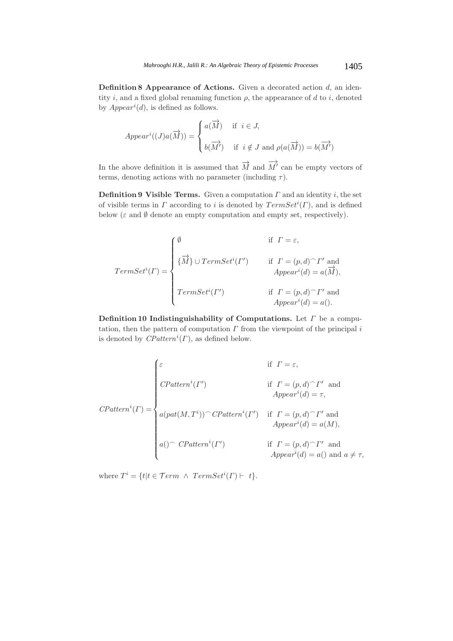**Definition 8 Appearance of Actions.** Given a decorated action d, an identity i, and a fixed global renaming function  $\rho$ , the appearance of d to i, denoted by  $Appendi$ , is defined as follows.

$$
Appendi((J)a(\overrightarrow{M})) = \begin{cases} a(\overrightarrow{M}) & \text{if } i \in J, \\ b(\overrightarrow{M'}) & \text{if } i \notin J \text{ and } \rho(a(\overrightarrow{M})) = b(\overrightarrow{M'}) \end{cases}
$$

In the above definition it is assumed that  $\overrightarrow{M}$  and  $\overrightarrow{M}'$  can be empty vectors of terms, denoting actions with no parameter (including  $\tau$ ).

**Definition 9 Visible Terms.** Given a computation  $\Gamma$  and an identity i, the set of visible terms in  $\Gamma$  according to i is denoted by  $TermSet^i(\Gamma)$ , and is defined below ( $\varepsilon$  and  $\emptyset$  denote an empty computation and empty set, respectively).

$$
TermSet^{i}(\Gamma) = \begin{cases} \emptyset & \text{if } \Gamma = \varepsilon, \\ \{\overrightarrow{M}\} \cup TermSet^{i}(\Gamma') & \text{if } \Gamma = (p, d) {^\frown} \Gamma' \text{ and} \\ & Appear^i(d) = a(\overrightarrow{M}), \\ TermSet^{i}(\Gamma') & \text{if } \Gamma = (p, d) {^\frown} \Gamma' \text{ and} \\ & Appear^i(d) = a(). \end{cases}
$$

**Definition 10 Indistinguishability of Computations.** Let Γ be a computation, then the pattern of computation  $\Gamma$  from the viewpoint of the principal i is denoted by  $\overline{CP}$ *attern*<sup>*i*</sup>( $\Gamma$ ), as defined below.

$$
CPatten^{i}(\Gamma) = \begin{cases} \varepsilon & \text{if } \Gamma = \varepsilon, \\ \text{CPattern}^{i}(\Gamma') & \text{if } \Gamma = (p, d) \cap \Gamma' \text{ and } \\ \text{Apper}^{i}(d) = \tau, \\ a(\text{pat}(M, T^{i})) \cap \text{CPattern}^{i}(\Gamma') & \text{if } \Gamma = (p, d) \cap \Gamma' \text{ and } \\ \text{Apper}^{i}(d) = a(M), \\ a() \cap \text{CPattern}^{i}(\Gamma') & \text{if } \Gamma = (p, d) \cap \Gamma' \text{ and } \\ A \text{ppear}^{i}(d) = a() \text{ and } a \neq \tau, \end{cases}
$$

where  $T^i = \{t | t \in \mathcal{T}erm \land TermSet^i(\Gamma) \vdash t\}.$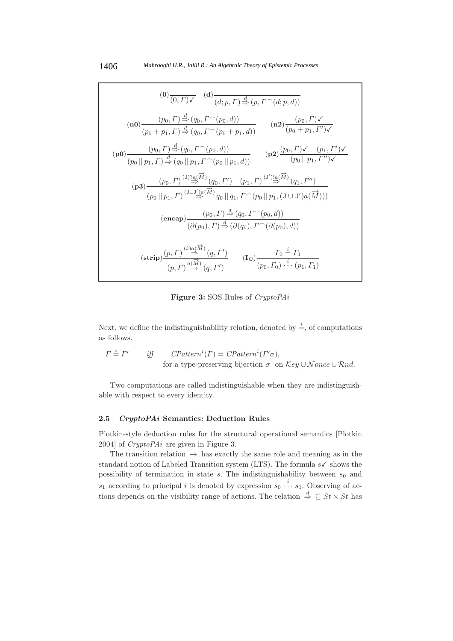$$
(0) \frac{(0, \Gamma) \checkmark}{} \quad (d) \frac{(d, p, \Gamma) \stackrel{d}{\to} (p, \Gamma^{\frown}(d; p, d))}{(d; p, \Gamma) \stackrel{d}{\to} (p, \Gamma^{\frown}(d; p, d))} \qquad (n2) \frac{(p_0, \Gamma) \checkmark}{(p_0 + p_1, \Gamma') \checkmark}
$$
\n
$$
(p0) \frac{(p_0, \Gamma) \stackrel{d}{\to} (q_0, \Gamma^{\frown}(p_0, d))}{(p_0 || p_1, \Gamma) \stackrel{d}{\to} (q_0 || p_1, \Gamma^{\frown}(p_0 || p_1, d))} \qquad (p2) \frac{(p_0, \Gamma) \checkmark}{(p_0 || p_1, \Gamma' \checkmark)} \qquad (p3) \frac{(p_0, \Gamma) \stackrel{d}{\to} (q_0 || p_1, \Gamma^{\frown}(p_0 || p_1, d))}{(p_0 || p_1, \Gamma^{\frown}(p_0 || p_1, d))} \qquad (p4) \frac{(p_0, \Gamma) \checkmark}{} \quad (p5) \frac{(p_0, \Gamma) \checkmark}{} \quad (p6) \frac{(p_0, \Gamma) \checkmark}{} \quad (p7) \frac{(p_0, \Gamma) \checkmark}{} \quad (p8) \frac{(p_0, \Gamma)^{(J)} \checkmark}{} \quad (q9, \Gamma^{\frown}(p_0 || p_1, d))}{(p_0 || p_1, \Gamma)^{(J \uparrow J)} \stackrel{J}{\to} (q_0, \Gamma^{\frown}(p_0 || p_1, (\text{J} \cup \text{J}')a(\overrightarrow{M})))} \qquad (n4) \frac{(p_0, \Gamma) \stackrel{d}{\to} (q_0, \Gamma^{\frown}(p_0, d))}{(q_0 p_0, \Gamma) \stackrel{d}{\to} (q_0, \Gamma^{\frown}(p_0, d))} \qquad (n5) \frac{(p_0, \Gamma) \stackrel{J}{\to} (q_0, \Gamma^{\frown}(p_0, d))}{(p_0, \Gamma)^{J \uparrow} \stackrel{J}{\to} (q, \Gamma^{\frown}(p_0, d))} \qquad (n6) \frac{(p_0, \Gamma) \stackrel{J}{\to} (q_0, \Gamma^{\frown}(p_0, d))}{(
$$

**Figure 3:** SOS Rules of *CryptoPAi*

Next, we define the indistinguishability relation, denoted by  $\stackrel{i}{=}$ , of computations as follows.

$$
\Gamma \stackrel{i}{=} \Gamma' \qquad \text{iff} \qquad \text{CPatten}^i(\Gamma) = \text{CPatten}^i(\Gamma'\sigma),
$$
\n
$$
\text{for a type-preserving bijection } \sigma \text{ on } \text{Key} \cup \text{None} \cup \text{Rnd}.
$$

Two computations are called indistinguishable when they are indistinguishable with respect to every identity.

# **2.5** *CryptoPAi* **Semantics: Deduction Rules**

Plotkin-style deduction rules for the structural operational semantics [Plotkin 2004] of *CryptoPAi* are given in Figure 3.

The transition relation  $\rightarrow$  has exactly the same role and meaning as in the standard notion of Labeled Transition system (LTS). The formula  $s\checkmark$  shows the possibility of termination in state  $s$ . The indistinguishability between  $s_0$  and  $s_1$  according to principal i is denoted by expression  $s_0 \stackrel{i}{\cdots} s_1$ . Observing of actions depends on the visibility range of actions. The relation  $\stackrel{d}{\Rightarrow} \subseteq St \times St$  has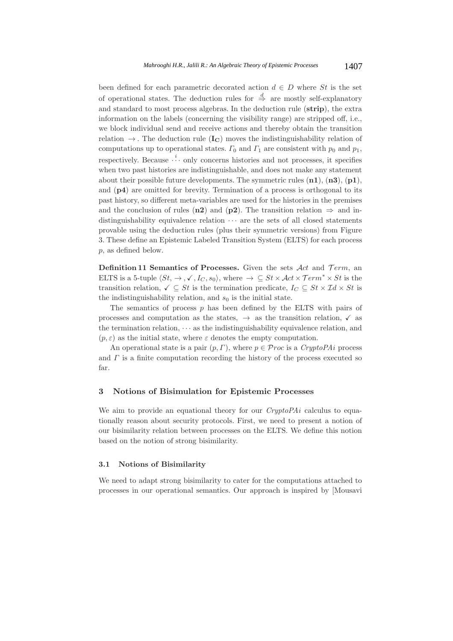been defined for each parametric decorated action  $d \in D$  where St is the set of operational states. The deduction rules for  $\stackrel{d}{\Rightarrow}$  are mostly self-explanatory and standard to most process algebras. In the deduction rule (**strip**), the extra information on the labels (concerning the visibility range) are stripped off, i.e., we block individual send and receive actions and thereby obtain the transition relation  $\rightarrow$ . The deduction rule  $(I_C)$  moves the indistinguishability relation of computations up to operational states.  $\Gamma_0$  and  $\Gamma_1$  are consistent with  $p_0$  and  $p_1$ , respectively. Because  $\cdots$  only concerns histories and not processes, it specifies when two past histories are indistinguishable, and does not make any statement about their possible future developments. The symmetric rules (**n1**), (**n3**), (**p1**), and (**p4**) are omitted for brevity. Termination of a process is orthogonal to its past history, so different meta-variables are used for the histories in the premises and the conclusion of rules (**n2**) and (**p2**). The transition relation  $\Rightarrow$  and indistinguishability equivalence relation  $\cdots$  are the sets of all closed statements provable using the deduction rules (plus their symmetric versions) from Figure 3. These define an Epistemic Labeled Transition System (ELTS) for each process p, as defined below.

**Definition 11 Semantics of Processes.** Given the sets  $Act$  and  $Term$ , an ELTS is a 5-tuple  $\langle St, \rightarrow, \checkmark, I_C, s_0 \rangle$ , where  $\rightarrow \subseteq St \times Act \times Term^* \times St$  is the transition relation,  $\checkmark \subseteq St$  is the termination predicate,  $I_C \subseteq St \times \mathcal{I}d \times St$  is the indistinguishability relation, and  $s_0$  is the initial state.

The semantics of process  $p$  has been defined by the ELTS with pairs of processes and computation as the states,  $\rightarrow$  as the transition relation,  $\checkmark$  as the termination relation,  $\cdots$  as the indistinguishability equivalence relation, and  $(p, \varepsilon)$  as the initial state, where  $\varepsilon$  denotes the empty computation.

An operational state is a pair  $(p, \Gamma)$ , where  $p \in \mathcal{P}$  roc is a *CryptoPAi* process and  $\Gamma$  is a finite computation recording the history of the process executed so far.

# **3 Notions of Bisimulation for Epistemic Processes**

We aim to provide an equational theory for our *CryptoPAi* calculus to equationally reason about security protocols. First, we need to present a notion of our bisimilarity relation between processes on the ELTS. We define this notion based on the notion of strong bisimilarity.

### **3.1 Notions of Bisimilarity**

We need to adapt strong bisimilarity to cater for the computations attached to processes in our operational semantics. Our approach is inspired by [Mousavi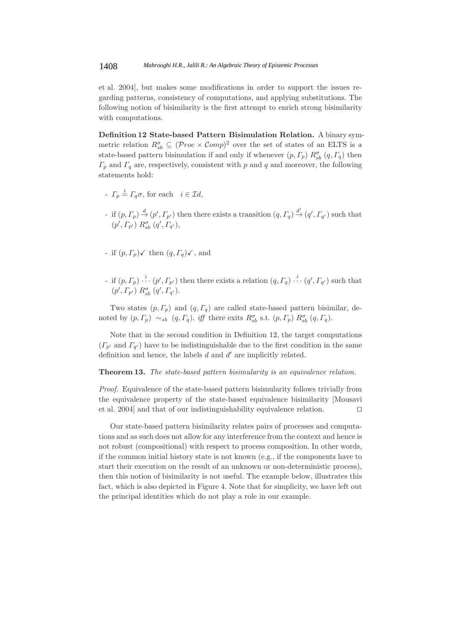et al. 2004], but makes some modifications in order to support the issues regarding patterns, consistency of computations, and applying substitutions. The following notion of bisimilarity is the first attempt to enrich strong bisimilarity with computations.

**Definition 12 State-based Pattern Bisimulation Relation.** A binary symmetric relation  $R_{sb}^{\sigma} \subseteq (Proc \times Comp)^2$  over the set of states of an ELTS is a state-based pattern bisimulation if and only if whenever  $(p, \Gamma_p) R_{sb}^{\sigma} (q, \Gamma_q)$  then  $\Gamma_p$  and  $\Gamma_q$  are, respectively, consistent with p and q and moreover, the following statements hold:

- $\Gamma_p \stackrel{i}{=} \Gamma_q \sigma$ , for each  $i \in \mathcal{I}d$ ,
- if  $(p, \Gamma_p) \stackrel{d}{\rightarrow} (p', \Gamma_{p'})$  then there exists a transition  $(q, \Gamma_q) \stackrel{d'}{\rightarrow} (q', \Gamma_{q'})$  such that  $(p', \Gamma_{p'}) R_{sb}^{\sigma} (q', \Gamma_{q'}),$
- if  $(p, \Gamma_p)$  then  $(q, \Gamma_q)$  , and
- if  $(p, \Gamma_p) \stackrel{i}{\cdots} (p', \Gamma_{p'})$  then there exists a relation  $(q, \Gamma_q) \stackrel{i}{\cdots} (q', \Gamma_{q'})$  such that  $(p', \Gamma_{p'}) R^{\sigma}_{sb} (q', \Gamma_{q'}).$

Two states  $(p, \Gamma_p)$  and  $(q, \Gamma_q)$  are called state-based pattern bisimilar, denoted by  $(p, \Gamma_p) \sim_{sb} (q, \Gamma_q)$ , *iff* there exits  $R_{sb}^{\sigma}$  s.t.  $(p, \Gamma_p) R_{sb}^{\sigma} (q, \Gamma_q)$ .

Note that in the second condition in Definition 12, the target computations  $(\Gamma_{p'} \text{ and } \Gamma_{q'})$  have to be indistinguishable due to the first condition in the same definition and hence, the labels  $d$  and  $d'$  are implicitly related.

## **Theorem 13.** *The state-based pattern bisimularity is an equivalence relation.*

*Proof.* Equivalence of the state-based pattern bisimularity follows trivially from the equivalence property of the state-based equivalence bisimilarity [Mousavi et al. 2004] and that of our indistinguishability equivalence relation. 

Our state-based pattern bisimilarity relates pairs of processes and computations and as such does not allow for any interference from the context and hence is not robust (compositional) with respect to process composition. In other words, if the common initial history state is not known (e.g., if the components have to start their execution on the result of an unknown or non-deterministic process), then this notion of bisimilarity is not useful. The example below, illustrates this fact, which is also depicted in Figure 4. Note that for simplicity, we have left out the principal identities which do not play a role in our example.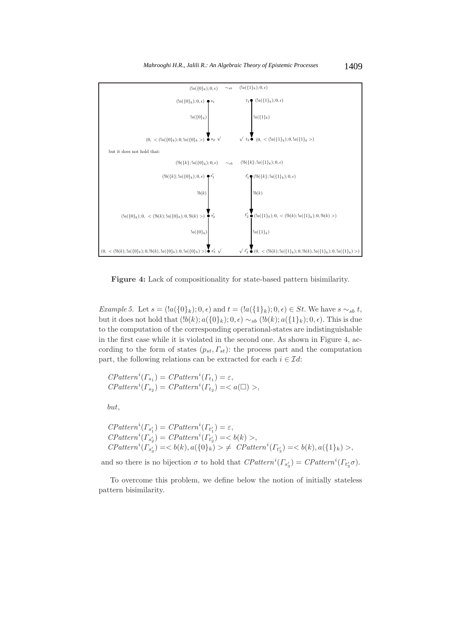

**Figure 4:** Lack of compositionality for state-based pattern bisimilarity.

*Example 5.* Let  $s = (a(\{0\}_k); 0, \epsilon)$  and  $t = (a(\{1\}_k); 0, \epsilon) \in St$ . We have  $s \sim_{sb} t$ , but it does not hold that  $(lb(k); a({0})_k); 0, \epsilon) \sim_{sb} (lb(k); a({1})_k); 0, \epsilon)$ . This is due to the computation of the corresponding operational-states are indistinguishable in the first case while it is violated in the second one. As shown in Figure 4, according to the form of states  $(p_{st}, F_{st})$ : the process part and the computation part, the following relations can be extracted for each  $i \in \mathcal{I}d$ :

 $\mathit{CP}atten^i(\Gamma_{s_1}) = \mathit{CP}atten^i(\Gamma_{t_1}) = \varepsilon,$  $\text{CP}atten^i(\overline{\Gamma_{s_2}}) = \text{CP}atten^i(\overline{\Gamma_{t_2}}) = \langle a(\square) \rangle,$ 

but,

$$
CPatterni(\Gamma_{s'_1}) = CPatterni(\Gamma_{t'_1}) = \varepsilon,
$$
  
\n
$$
CPatterni(\Gamma_{s'_2}) = CPatterni(\Gamma_{t'_2}) = \langle b(k) \rangle,
$$
  
\n
$$
CPatterni(\Gamma_{s'_3}) = \langle b(k), a(\{0\}_k) \rangle \neq CPatterni(\Gamma_{t'_3}) = \langle b(k), a(\{1\}_k) \rangle,
$$

and so there is no bijection  $\sigma$  to hold that  $\mathit{CPatten}^i(\Gamma_{s'_3}) = \mathit{CPatten}^i(\Gamma_{t'_3}\sigma)$ .

To overcome this problem, we define below the notion of initially stateless pattern bisimilarity.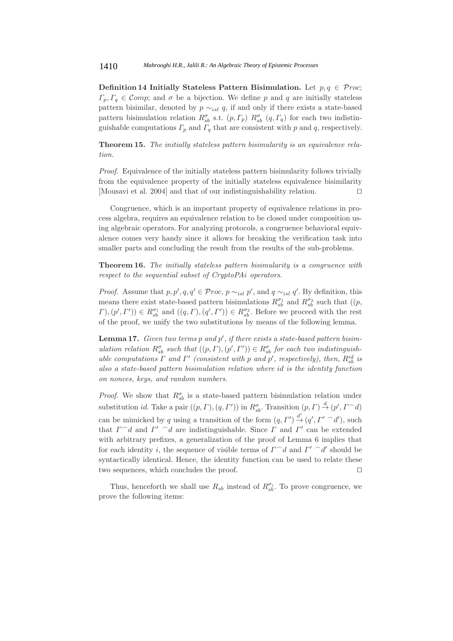**Definition 14 Initially Stateless Pattern Bisimulation.** Let  $p, q \in \mathcal{P}roc$ ;  $\Gamma_p, \Gamma_q \in \mathcal{C}omp$ ; and  $\sigma$  be a bijection. We define p and q are initially stateless pattern bisimilar, denoted by  $p \sim_{isl} q$ , if and only if there exists a state-based pattern bisimulation relation  $R_{sb}^{\sigma}$  s.t.  $(p, \Gamma_p)$   $R_{sb}^{\sigma}$   $(q, \Gamma_q)$  for each two indistinguishable computations  $\Gamma_p$  and  $\Gamma_q$  that are consistent with p and q, respectively.

**Theorem 15.** *The initially stateless pattern bisimularity is an equivalence relation.*

*Proof.* Equivalence of the initially stateless pattern bisimularity follows trivially from the equivalence property of the initially stateless equivalence bisimilarity [Mousavi et al. 2004] and that of our indistinguishability relation. 

Congruence, which is an important property of equivalence relations in process algebra, requires an equivalence relation to be closed under composition using algebraic operators. For analyzing protocols, a congruence behavioral equivalence comes very handy since it allows for breaking the verification task into smaller parts and concluding the result from the results of the sub-problems.

**Theorem 16.** *The initially stateless pattern bisimularity is a congruence with respect to the sequential subset of CryptoPAi operators.*

*Proof.* Assume that  $p, p', q, q' \in \mathcal{P}roc$ ,  $p \sim_{isl} p'$ , and  $q \sim_{isl} q'$ . By definition, this means there exist state-based pattern bisimulations  $R_{sb}^{\sigma_1}$  and  $R_{sb}^{\sigma_2}$  such that  $((p,$  $(\Gamma, (p', \Gamma')) \in R_{sb}^{\sigma_1}$  and  $((q, \Gamma), (q', \Gamma')) \in R_{sb}^{\sigma_2}$ . Before we proceed with the rest of the proof, we unify the two substitutions by means of the following lemma.

**Lemma 17.** *Given two terms* p and p', if there exists a state-based pattern bisim*ulation relation*  $R_{sb}^{\sigma}$  *such that*  $((p, \Gamma), (p', \Gamma')) \in R_{sb}^{\sigma}$  *for each two indistinguishable computations*  $\Gamma$  *and*  $\Gamma'$  (*consistent with* p *and*  $p'$ , *respectively*), *then*,  $R_{sb}^{id}$  *is also a state-based pattern bisimulation relation where* id *is the identity function on nonces, keys, and random numbers.*

*Proof.* We show that  $R_{sb}^{\sigma}$  is a state-based pattern bisimulation relation under substitution *id*. Take a pair  $((p, \Gamma), (q, \Gamma'))$  in  $R^{\sigma}_{sb}$ . Transition  $(p, \Gamma) \stackrel{d}{\rightarrow} (p', \Gamma \cap d)$ can be mimicked by q using a transition of the form  $(q, \Gamma') \stackrel{d'}{\rightarrow} (q', \Gamma' \cap d')$ , such that  $\Gamma \cap d$  and  $\Gamma' \cap d$  are indistinguishable. Since  $\Gamma$  and  $\Gamma'$  can be extended with arbitrary prefixes, a generalization of the proof of Lemma 6 implies that for each identity *i*, the sequence of visible terms of  $\Gamma \cap d$  and  $\Gamma' \cap d'$  should be syntactically identical. Hence, the identity function can be used to relate these two sequences, which concludes the proof. 

Thus, henceforth we shall use  $R_{sb}$  instead of  $R_{sb}^{\sigma_i}$ . To prove congruence, we prove the following items: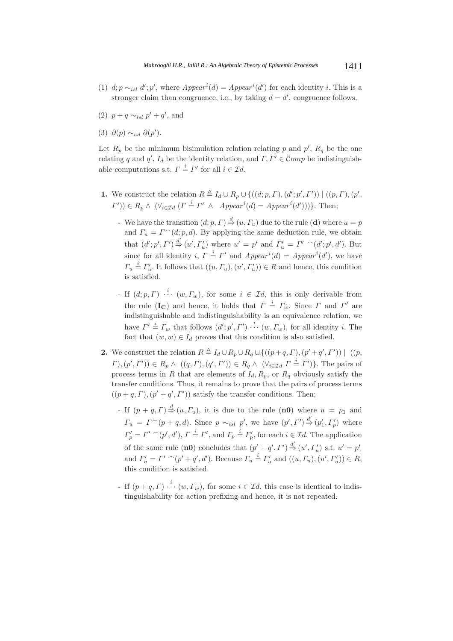- (1)  $d; p \sim_{isl} d'; p'$ , where  $Appear^i(d) = Appear^i(d')$  for each identity *i*. This is a stronger claim than congruence, i.e., by taking  $d = d'$ , congruence follows,
- (2)  $p + q \sim_{isl} p' + q'$ , and
- (3)  $\partial(p) \sim_{isl} \partial(p')$ .

Let  $R_p$  be the minimum bisimulation relation relating p and p',  $R_q$  be the one relating q and q',  $I_d$  be the identity relation, and  $\Gamma, \Gamma' \in \mathcal{C}omp$  be indistinguishable computations s.t.  $\Gamma \stackrel{i}{=} \Gamma'$  for all  $i \in \mathcal{I}d$ .

- **1.** We construct the relation  $R \triangleq I_d \cup R_p \cup \{((d;p, \Gamma), (d'; p', \Gamma')) \mid ((p, \Gamma), (p', \Gamma))\}$  $(\Gamma')\in R_p \wedge (\forall_{i\in \mathcal{I}}\mathcal{A} \ (I \stackrel{i}{=} \Gamma' \ \wedge \ \ \textit{Appear}^i(d) = \textit{Appear}^i(d'))\}.$  Then;
	- We have the transition  $(d; p, \Gamma) \stackrel{d}{\Rightarrow} (u, \Gamma_u)$  due to the rule (**d**) where  $u = p$ and  $\Gamma_u = \Gamma^{\frown}(d; p, d)$ . By applying the same deduction rule, we obtain that  $(d'; p', \Gamma') \stackrel{d'}{\Rightarrow} (u', \Gamma'_u)$  where  $u' = p'$  and  $\Gamma'_u = \Gamma' \cap (d'; p', d')$ . But since for all identity *i*,  $\overline{\Gamma} = \Gamma'$  and  $Appear^i(d) = Appear^i(d')$ , we have  $\Gamma_u \stackrel{i}{=} \Gamma'_u$ . It follows that  $((u, \Gamma_u), (u', \Gamma'_u)) \in R$  and hence, this condition is satisfied.
	- If  $(d; p, \Gamma)$   $\cdots$   $(w, \Gamma_w)$ , for some  $i \in \mathcal{I}d$ , this is only derivable from the rule ( $\mathbf{I_C}$ ) and hence, it holds that  $\Gamma = I_w$ . Since  $\Gamma$  and  $\Gamma'$  are indistinguishable and indistinguishability is an equivalence relation, we have  $\Gamma' \stackrel{i}{=} \Gamma_w$  that follows  $(d';p',\Gamma')\stackrel{i}{\cdots}(w,\Gamma_w)$ , for all identity i. The fact that  $(w, w) \in I_d$  proves that this condition is also satisfied.
- **2.** We construct the relation  $R \triangleq I_d \cup R_p \cup R_q \cup \{((p+q, \Gamma), (p'+q', \Gamma')) \mid ((p, \Gamma)) \in \mathcal{L}_q\}$  $(\Gamma),(\mathbf{p}',\Gamma')) \in R_{\mathbf{p}} \wedge ((\mathbf{q},\Gamma),(\mathbf{q}',\Gamma')) \in R_{\mathbf{q}} \wedge (\forall_{i \in \mathcal{I}d} \Gamma \stackrel{i}{=} \Gamma')\}.$  The pairs of process terms in R that are elements of  $I_d$ ,  $R_p$ , or  $R_q$  obviously satisfy the transfer conditions. Thus, it remains to prove that the pairs of process terms  $((p+q, \Gamma), (p'+q', \Gamma'))$  satisfy the transfer conditions. Then;
	- If  $(p+q, \Gamma) \stackrel{d}{\Rightarrow} (u, \Gamma_u)$ , it is due to the rule  $(n0)$  where  $u = p_1$  and  $\Gamma_u = \Gamma^{\frown}(p+q,d)$ . Since  $p \sim_{isl} p'$ , we have  $(p', \Gamma') \stackrel{d'}{\Rightarrow} (p'_1, \Gamma'_p)$  where  $\Gamma'_p = \Gamma' \cap (p', d'), \Gamma \stackrel{i}{=} \Gamma'$ , and  $\Gamma_p \stackrel{i}{=} \Gamma'_p$ , for each  $i \in \mathcal{I}d$ . The application of the same rule (**n0**) concludes that  $(p' + q', \Gamma') \stackrel{d'}{\Rightarrow} (u', \Gamma'_u)$  s.t.  $u' = p'_1$ and  $\Gamma'_u = \Gamma' \cap (p' + q', d')$ . Because  $\Gamma_u \stackrel{i}{=} \Gamma'_u$  and  $((u, \Gamma_u), (u', \Gamma'_u)) \in R$ , this condition is satisfied.
	- If  $(p+q, \Gamma) \stackrel{i}{\cdots} (w, \Gamma_w)$ , for some  $i \in \mathcal{I}d$ , this case is identical to indistinguishability for action prefixing and hence, it is not repeated.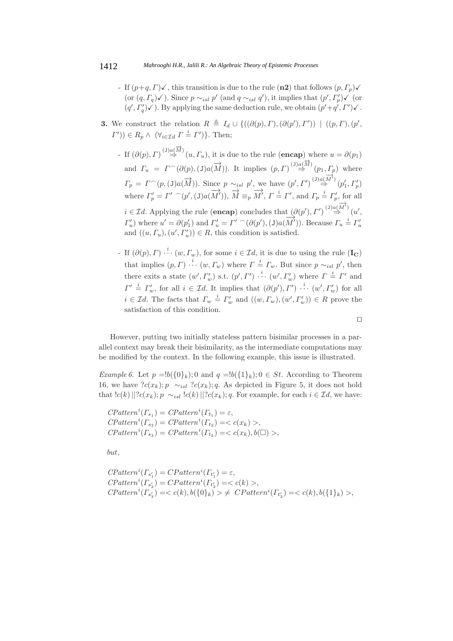- If  $(p+q, \Gamma)\checkmark$ , this transition is due to the rule  $(\mathbf{n2})$  that follows  $(p, \Gamma_p)\checkmark$ (or  $(q, \Gamma_q)$  $\checkmark$ ). Since  $p \sim_{isl} p'$  (and  $q \sim_{isl} q'$ ), it implies that  $(p', \Gamma'_p) \checkmark$  (or  $(q', \Gamma'_q)$   $\checkmark$ ). By applying the same deduction rule, we obtain  $(p' + q', \Gamma')$   $\checkmark$ .
- **3.** We construct the relation  $R \triangleq I_d \cup \{((\partial(p), \Gamma),(\partial(p'), \Gamma')) \mid ((p, \Gamma), (p', \Gamma'))\}$  $(\Gamma')\in R_p \wedge (\forall_{i\in \mathcal{I}d} \Gamma \stackrel{i}{=} \Gamma')\}.$  Then;
	- $-$  If  $(\partial(p), \Gamma) \stackrel{(J)a(\overrightarrow{M})}{\Rightarrow} (u, \Gamma_u)$ , it is due to the rule (**encap**) where  $u = \partial(p_1)$ and  $\Gamma_u = \Gamma \cap (\partial(p), (J)a(\overrightarrow{M}))$ . It implies  $(p, \Gamma) \stackrel{(J)a(\overrightarrow{M})}{\Rightarrow} (p_1, \Gamma_p)$  where  $\Gamma_p = \Gamma^{\frown}(p,(\mathbf{J})a(\overrightarrow{M}))$ . Since  $p \sim_{isl} p'$ , we have  $(p',\Gamma')^{(\mathbf{J})a(\overrightarrow{M'})}(p'_1,\Gamma'_p)$ where  $\Gamma_p' = \Gamma' \cap (p', (\text{J})a(\overrightarrow{M'})), \overrightarrow{M} \equiv_p \overrightarrow{M'}, \Gamma \stackrel{i}{=} \Gamma', \text{ and } \Gamma_p \stackrel{i}{=} \Gamma_p', \text{ for all }$  $i \in \mathcal{I}d$ . Applying the rule (**encap**) concludes that  $(\partial(p'), \Gamma') \stackrel{(J)a(\overrightarrow{M'})}{\Rightarrow} (u',$  $\Gamma'_u$ ) where  $u' = \partial(p'_1)$  and  $\Gamma'_u = \Gamma' \cap (\partial(p'), (\text{J})a(\overline{M'}))$ . Because  $\Gamma_u \stackrel{i}{=} \Gamma'_u$ and  $((u, \Gamma_u), (u', \Gamma'_u)) \in R$ , this condition is satisfied.
	- If  $(\partial(p), \Gamma) \stackrel{i}{\cdots} (w, \Gamma_w)$ , for some  $i \in \mathcal{I}d$ , it is due to using the rule  $(\mathbf{I}_{\mathbf{C}})$ that implies  $(p, \Gamma) \stackrel{i}{\cdots} (w, \Gamma_w)$  where  $\Gamma \stackrel{i}{=} \Gamma_w$ . But since  $p \sim_{isl} p'$ , then there exits a state  $(w', \Gamma'_w)$  s.t.  $(p', \Gamma') \cdots (w', \Gamma'_w)$  where  $\Gamma \stackrel{i}{=} \Gamma'$  and  $\Gamma' \stackrel{i}{=} \Gamma'_w$ , for all  $i \in \mathcal{I}d$ . It implies that  $(\partial(p'), \Gamma') \stackrel{i}{\cdots} (w', \Gamma'_w)$  for all  $i \in \mathcal{I}$ d. The facts that  $\Gamma_w \stackrel{i}{=} \Gamma_w'$  and  $((w, \Gamma_w), (w', \Gamma_w')) \in R$  prove the satisfaction of this condition.

However, putting two initially stateless pattern bisimilar processes in a parallel context may break their bisimilarity, as the intermediate computations may be modified by the context. In the following example, this issue is illustrated.

*Example 6.* Let  $p = \lfloor b(\{0\}_k) \rfloor$ ; 0 and  $q = \lfloor b(\{1\}_k) \rfloor$ ;  $0 \in St$ . According to Theorem 16, we have  $?c(x_k); p \sim_{isl} ?c(x_k); q$ . As depicted in Figure 5, it does not hold that  $|c(k)||?c(x_k); p \sim_{isl} |c(k)||?c(x_k); q$ . For example, for each  $i \in \mathcal{I}d$ , we have:

 $\mathit{CP}atten^i(\Gamma_{s_1}) = \mathit{CP}atten^i(\Gamma_{t_1}) = \varepsilon,$  $\text{CP}atten^i(\Gamma_{s_2}) = \text{CP}atten^i(\Gamma_{t_2}) = \langle c(x_k) \rangle,$  $\text{CPattern}^i(\Gamma_{s_3}) = \text{CPattern}^i(\Gamma_{t_3}) = \langle c(x_k), b(\square) \rangle,$ 

but,

$$
CPatterni(\Gamma_{s'_1}) = CPatterni(\Gamma_{t'_1}) = \varepsilon,
$$
  
\n
$$
CPatterni(\Gamma_{s'_2}) = CPatterni(\Gamma_{t'_2}) = \langle c(k) \rangle,
$$
  
\n
$$
CPatterni(\Gamma_{s'_3}) = \langle c(k), b(\{0\}_k) \rangle \neq CPatterni(\Gamma_{t'_3}) = \langle c(k), b(\{1\}_k) \rangle,
$$

 $\Box$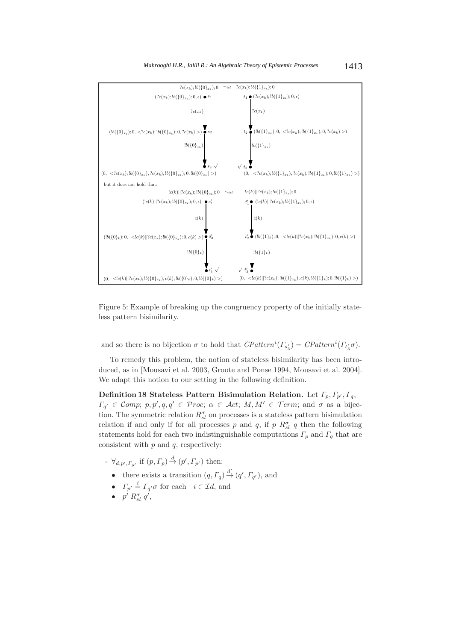

Figure 5: Example of breaking up the congruency property of the initially stateless pattern bisimilarity.

and so there is no bijection  $\sigma$  to hold that  $\mathit{CPatten}^i(\Gamma_{s'_3}) = \mathit{CPatten}^i(\Gamma_{t'_3}\sigma)$ .

To remedy this problem, the notion of stateless bisimilarity has been introduced, as in [Mousavi et al. 2003, Groote and Ponse 1994, Mousavi et al. 2004]. We adapt this notion to our setting in the following definition.

**Definition 18 Stateless Pattern Bisimulation Relation.** Let  $\Gamma_p, \Gamma_{p'}, \Gamma_q,$  $\Gamma_{q'} \in \mathcal{C}omp; p, p', q, q' \in \mathcal{P}roc; \ \alpha \in \mathcal{A}ct; M, M' \in \mathcal{T}erm; \text{ and } \sigma \text{ as a bijec-}$ tion. The symmetric relation  $R_{sl}^{\sigma}$  on processes is a stateless pattern bisimulation relation if and only if for all processes p and q, if p  $R_{sl}^{\sigma}$  q then the following statements hold for each two indistinguishable computations  $\Gamma_p$  and  $\Gamma_q$  that are consistent with  $p$  and  $q$ , respectively:

- $\forall_{d,p',\Gamma_{p'}}$  if  $(p,\Gamma_p) \stackrel{d}{\rightarrow} (p',\Gamma_{p'})$  then:
	- there exists a transition  $(q, \Gamma_q) \stackrel{d'}{\rightarrow} (q', \Gamma_{q'})$ , and
	- $\Gamma_{p'} \stackrel{i}{=} \Gamma_{q'} \sigma$  for each  $i \in \mathcal{I}d$ , and
	- $\bullet$   $p' R_{sl}^{\sigma} q',$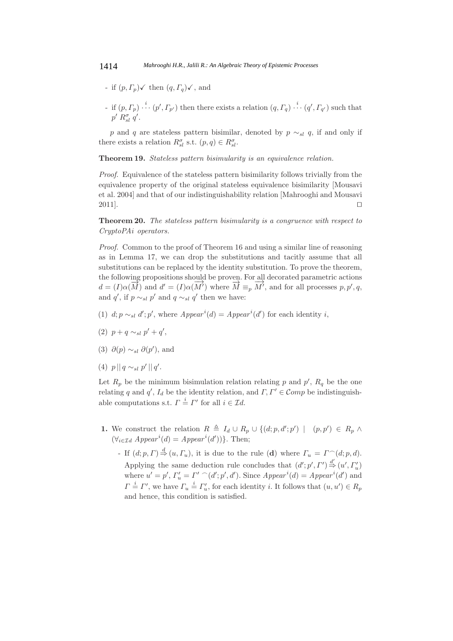- if  $(p, \Gamma_p) \checkmark$  then  $(q, \Gamma_q) \checkmark$ , and
- if  $(p, \Gamma_p) \stackrel{i}{\cdots} (p', \Gamma_{p'})$  then there exists a relation  $(q, \Gamma_q) \stackrel{i}{\cdots} (q', \Gamma_{q'})$  such that  $p' R_{sl}^{\sigma} q'.$

p and q are stateless pattern bisimilar, denoted by  $p \sim_{sl} q$ , if and only if there exists a relation  $R_{sl}^{\sigma}$  s.t.  $(p,q) \in R_{sl}^{\sigma}$ .

**Theorem 19.** *Stateless pattern bisimularity is an equivalence relation.*

*Proof.* Equivalence of the stateless pattern bisimilarity follows trivially from the equivalence property of the original stateless equivalence bisimilarity [Mousavi et al. 2004] and that of our indistinguishability relation [Mahrooghi and Mousavi  $2011$ .

**Theorem 20.** *The stateless pattern bisimularity is a congruence with respect to CryptoPAi operators.*

*Proof.* Common to the proof of Theorem 16 and using a similar line of reasoning as in Lemma 17, we can drop the substitutions and tacitly assume that all substitutions can be replaced by the identity substitution. To prove the theorem, the following propositions should be proven. For all decorated parametric actions  $d = (I)\alpha(\overrightarrow{M})$  and  $d' = (I)\alpha(\overrightarrow{M'})$  where  $\overrightarrow{M} \equiv_p \overrightarrow{M'}$ , and for all processes p, p', q, and q', if  $p \sim_{sl} p'$  and  $q \sim_{sl} q'$  then we have:

- (1)  $d; p \sim_{sl} d'; p'$ , where  $Append' = Appear^i(d')$  for each identity *i*,
- (2)  $p + q \sim_{sl} p' + q'$ ,
- (3)  $\partial(p) \sim_{sl} \partial(p')$ , and
- (4)  $p || q \sim_{sl} p' || q'.$

Let  $R_p$  be the minimum bisimulation relation relating p and p',  $R_q$  be the one relating q and q',  $I_d$  be the identity relation, and  $\Gamma, \Gamma' \in \mathcal{C}omp$  be indistinguishable computations s.t.  $\Gamma \stackrel{i}{=} \Gamma'$  for all  $i \in \mathcal{I}d$ .

- **1.** We construct the relation  $R \triangleq I_d \cup R_p \cup \{(d; p, d'; p') \mid (p, p') \in R_p \land$  $(\forall_{i \in \mathcal{I}}\,d \, \textit{appear}^i(d) = \textit{Appear}^i(d'))\}.$  Then;
	- $-If(d; p, \Gamma) \stackrel{d}{\Rightarrow} (u, \Gamma_u)$ , it is due to the rule (**d**) where  $\Gamma_u = \Gamma^{\frown}(d; p, d)$ . Applying the same deduction rule concludes that  $(d'; p', \Gamma') \stackrel{d'}{\Rightarrow} (u', \Gamma'_u)$ where  $u' = p'$ ,  $\Gamma'_u = \Gamma' \cap (d'; p', d')$ . Since  $Appear^i(d) = Appear^i(d')$  and  $\Gamma \stackrel{i}{=} \Gamma'$ , we have  $\Gamma_u \stackrel{i}{=} \Gamma'_u$ , for each identity *i*. It follows that  $(u, u') \in R_p$ and hence, this condition is satisfied.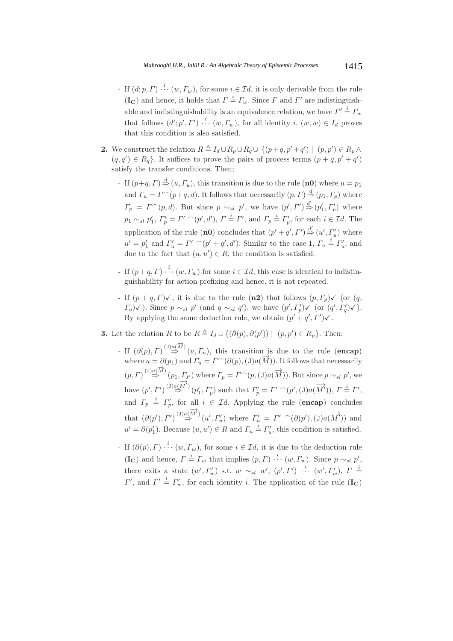- If  $(d; p, \Gamma) \stackrel{i}{\cdots} (w, \Gamma_w)$ , for some  $i \in \mathcal{I}d$ , it is only derivable from the rule  $(\mathbf{I}_{\mathbf{C}})$  and hence, it holds that  $\Gamma \stackrel{i}{=} \Gamma_w$ . Since  $\Gamma$  and  $\Gamma'$  are indistinguishable and indistinguishability is an equivalence relation, we have  $\Gamma' \stackrel{i}{=} \Gamma_w$ that follows  $(d'; p', I') \stackrel{i}{\cdots} (w, \Gamma_w)$ , for all identity  $i$ .  $(w, w) \in I_d$  proves that this condition is also satisfied.
- **2.** We construct the relation  $R \triangleq I_d \cup R_p \cup R_q \cup \{(p+q, p'+q') \mid (p, p') \in R_p \land$  $(q, q') \in R_q$ . It suffices to prove the pairs of process terms  $(p + q, p' + q')$ satisfy the transfer conditions. Then;
	- If  $(p+q, \Gamma) \stackrel{d}{\Rightarrow} (u, \Gamma_u)$ , this transition is due to the rule  $(\mathbf{n0})$  where  $u = p_1$ and  $\Gamma_u = \Gamma^{\frown}(p+q, d)$ . It follows that necessarily  $(p, \Gamma) \stackrel{d}{\Rightarrow} (p_1, \Gamma_p)$  where  $\Gamma_p = \Gamma^{\frown}(p, d)$ . But since  $p \sim_{sl} p'$ , we have  $(p', \Gamma') \stackrel{d'}{\Rightarrow} (p'_1, \Gamma'_p)$  where  $p_1 \sim_{sl} p'_1, \Gamma'_p = \Gamma' \cap (p', d'), \Gamma \stackrel{i}{=} \Gamma', \text{ and } \Gamma_p \stackrel{i}{=} \Gamma'_p, \text{ for each } i \in \mathcal{I}d.$  The application of the rule (**n0**) concludes that  $(p' + q', I') \stackrel{d'}{\Rightarrow} (u', I'_{u})$  where  $u' = p'_1$  and  $\Gamma'_u = \Gamma' \cap (p' + q', d')$ . Similar to the case 1,  $\Gamma_u \stackrel{i}{=} \Gamma'_u$ ; and due to the fact that  $(u, u') \in R$ , the condition is satisfied.
	- If  $(p+q, \Gamma) \stackrel{i}{\cdots} (w, \Gamma_w)$  for some  $i \in \mathcal{I}d$ , this case is identical to indistinguishability for action prefixing and hence, it is not repeated.
	- If  $(p+q, \Gamma)\checkmark$ , it is due to the rule  $(n2)$  that follows  $(p, \Gamma_p)\checkmark$  (or  $(q, \Gamma_p)\checkmark$ )  $\Gamma_q$ ) $\checkmark$ ). Since  $p \sim_{sl} p'$  (and  $q \sim_{sl} q'$ ), we have  $(p', \Gamma_p') \checkmark$  (or  $(q', \Gamma_q') \checkmark$ ). By applying the same deduction rule, we obtain  $(p' + q', I')\checkmark$ .
- **3.** Let the relation R to be  $R \triangleq I_d \cup \{(\partial(p), \partial(p')) \mid (p, p') \in R_p\}$ . Then;
	- If  $(\partial(p), \Gamma) \stackrel{(J)a(\overrightarrow{M})}{\Rightarrow} (u, \Gamma_u)$ , this transition is due to the rule (**encap**) where  $u = \partial(p_1)$  and  $\Gamma_u = \Gamma^{\frown}(\partial(p), (J)a(\overline{M}))$ . It follows that necessarily  $(p, \Gamma) \stackrel{(J) a(\overrightarrow{M})}{\Rightarrow} (p_1, \Gamma_P)$  where  $\Gamma_p = \Gamma^{\frown}(p, (\text{J})a(\overrightarrow{M}))$ . But since  $p \sim_{sl} p'$ , we have  $(p', \Gamma') \stackrel{(J) a(\overrightarrow{M'})}{\Rightarrow} (p'_1, \Gamma'_p)$  such that  $\Gamma'_p = \Gamma' \cap (p', \mathcal{J}) a(\overrightarrow{M'})), \Gamma \stackrel{i}{=} \Gamma',$ and  $\Gamma_p \triangleq \Gamma_p'$ , for all  $i \in \mathcal{I}d$ . Applying the rule (**encap**) concludes that  $(\partial(p'), \Gamma')^{(J)} \stackrel{\text{(J)} \otimes \overrightarrow{M'}}{ \Rightarrow} (u', \Gamma'_u)$  where  $\Gamma'_u = \Gamma' \cap (\partial(p'), (\text{J})a(\overrightarrow{M'}))$  and  $u' = \partial(p'_1)$ . Because  $(u, u') \in R$  and  $\Gamma_u \stackrel{\tilde{i}}{=} \Gamma'_u$ , this condition is satisfied.
	- If  $(\partial(p), \Gamma) \stackrel{i}{\cdots} (w, \Gamma_w)$ , for some  $i \in \mathcal{I}d$ , it is due to the deduction rule  $(\mathbf{I}_{\mathbf{C}})$  and hence,  $\Gamma = \Gamma_w$  that implies  $(p, \Gamma) \stackrel{i}{\cdots} (w, \Gamma_w)$ . Since  $p \sim_{sl} p'$ , there exits a state  $(w', \Gamma'_w)$  s.t.  $w \sim_{sl} w'$ ,  $(p', \Gamma')$   $\stackrel{i}{\cdots}$   $(w', \Gamma'_w)$ ,  $\Gamma \stackrel{i}{\equiv}$ Γ', and  $\Gamma' = \Gamma_w'$ , for each identity *i*. The application of the rule (**IC**)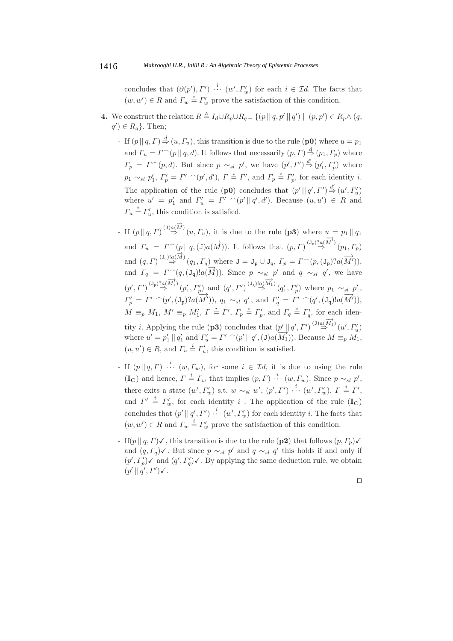concludes that  $(\partial(p'), \Gamma') \stackrel{i}{\cdots} (w', \Gamma'_w)$  for each  $i \in \mathcal{I}d$ . The facts that  $(w, w') \in R$  and  $\Gamma_w \stackrel{i}{=} \Gamma_w'$  prove the satisfaction of this condition.

- **4.** We construct the relation  $R \triangleq I_d \cup R_p \cup R_q \cup \{ (p || q, p' || q') \mid (p, p') \in R_p \wedge (q, p') \}$  $q'$ )  $\in R_q$ . Then;
	- If  $(p \mid q, \Gamma) \stackrel{d}{\Rightarrow} (u, \Gamma_u)$ , this transition is due to the rule  $(p0)$  where  $u = p_1$ and  $\Gamma_u = \Gamma^{\frown}(p \mid q, d)$ . It follows that necessarily  $(p, \Gamma) \stackrel{d}{\Rightarrow} (p_1, \Gamma_p)$  where  $\Gamma_p = \Gamma^{\frown}(p,d)$ . But since  $p \sim_{sl} p'$ , we have  $(p', \Gamma') \stackrel{d'}{\Rightarrow} (p'_1, \Gamma'_p)$  where  $p_1 \sim_{sl} p'_1, T'_p = \Gamma' \cap (p', d'), \Gamma \stackrel{i}{=} \Gamma', \text{ and } \Gamma_p \stackrel{i}{=} \Gamma'_p, \text{ for each identity } i.$ The application of the rule (**p0**) concludes that  $(p' || q', \Gamma') \stackrel{d'}{\Rightarrow} (u', \Gamma'_u)$ where  $u' = p'_1$  and  $\Gamma'_u = \Gamma' \cap (p' || q', d')$ . Because  $(u, u') \in R$  and  $\Gamma_u \stackrel{i}{=} \Gamma'_u$ , this condition is satisfied.
	- If  $(p || q, \Gamma)^{(J)a(\overrightarrow{M})}(u, \Gamma_u)$ , it is due to the rule  $(p3)$  where  $u = p_1 || q_1$ and  $\Gamma_u = \Gamma^{\frown}(p || q,(\mathbf{J})a(\overrightarrow{M}))$ . It follows that  $(p,\Gamma)^{(J_p)2a(\overrightarrow{M})}(p_1,\Gamma_p)$ and  $(q, \Gamma) \stackrel{(J_q)!\alpha(\overrightarrow{M})}{\Rightarrow} (q_1, \Gamma_q)$  where  $J = J_p \cup J_q$ ,  $\Gamma_p = \Gamma^{\frown}(p, (J_p)?a(\overrightarrow{M})),$ and  $\Gamma_q = \Gamma^{\frown}(q, (\mathsf{J}_q) \mathsf{I}_a(\overrightarrow{M}))$ . Since  $p \sim_{sl} p'$  and  $q \sim_{sl} q'$ , we have  $(p', \Gamma')^{(J_p)2} \stackrel{\gamma}{\Rightarrow} (p'_1, \Gamma'_p)$  and  $(q', \Gamma')^{(J_q)2} \stackrel{\gamma}{\Rightarrow} (q'_1, \Gamma'_p)$  where  $p_1 \sim_{sl} p'_1$ ,  $\Gamma'_p = \Gamma' \cap (p', (\mathbf{J_p})?a(\overline{M'})), q_1 \sim_{sl} q'_1$ , and  $\Gamma'_q = \Gamma' \cap (q', (\mathbf{J_q})!a(\overline{M'})),$  $M \equiv_p M_1$ ,  $M' \equiv_p M'_1$ ,  $\Gamma \stackrel{i}{=} \Gamma'$ ,  $\Gamma_p \stackrel{i}{=} \Gamma'_p$ , and  $\Gamma_q \stackrel{i}{=} \Gamma'_q$ , for each identity *i*. Applying the rule (**p3**) concludes that  $(p' || q', I')^{(J)a(\overrightarrow{M_1})}(u', I'_u)$ where  $u' = p'_1 || q'_1$  and  $\Gamma'_u = \Gamma' \cap (p' || q', (J)a(M'_1))$ . Because  $M \equiv_p M_1$ ,  $(u, u') \in R$ , and  $\Gamma_u \stackrel{i}{=} \Gamma'_u$ , this condition is satisfied.
	- If  $(p || q, \Gamma) \stackrel{i}{\cdots} (w, \Gamma_w)$ , for some  $i \in \mathcal{I}d$ , it is due to using the rule  $(\mathbf{I}_{\mathbf{C}})$  and hence,  $\Gamma \stackrel{i}{=} \Gamma_w$  that implies  $(p, \Gamma) \stackrel{i}{\cdots} (w, \Gamma_w)$ . Since  $p \sim_{sl} p'$ , there exits a state  $(w', \Gamma'_w)$  s.t.  $w \sim_{sl} w', (p', \Gamma') \stackrel{i}{\cdots} (w', \Gamma'_w), \Gamma \stackrel{i}{=} \Gamma',$ and  $\Gamma' \stackrel{i}{=} \Gamma'_{w}$ , for each identity i. The application of the rule (**I<sub>C</sub>**) concludes that  $(p' || q', \Gamma') \stackrel{i}{\cdots} (w', \Gamma_w')$  for each identity i. The facts that  $(w, w') \in R$  and  $\Gamma_w \stackrel{i}{=} \Gamma_w'$  prove the satisfaction of this condition.
	- If(p||q, Γ) $\checkmark$ , this transition is due to the rule (**p2**) that follows  $(p, \Gamma_p) \checkmark$ and  $(q, \Gamma_q)$ √. But since  $p \sim_{sl} p'$  and  $q \sim_{sl} q'$  this holds if and only if  $(p', \Gamma_p')\checkmark$  and  $(q', \Gamma_q')\checkmark$ . By applying the same deduction rule, we obtain  $(p' || q', \Gamma') \checkmark$ .

 $\Box$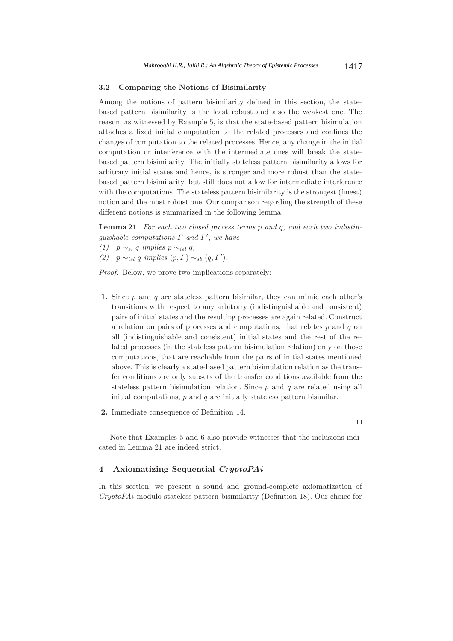#### **3.2 Comparing the Notions of Bisimilarity**

Among the notions of pattern bisimilarity defined in this section, the statebased pattern bisimilarity is the least robust and also the weakest one. The reason, as witnessed by Example 5, is that the state-based pattern bisimulation attaches a fixed initial computation to the related processes and confines the changes of computation to the related processes. Hence, any change in the initial computation or interference with the intermediate ones will break the statebased pattern bisimilarity. The initially stateless pattern bisimilarity allows for arbitrary initial states and hence, is stronger and more robust than the statebased pattern bisimilarity, but still does not allow for intermediate interference with the computations. The stateless pattern bisimilarity is the strongest (finest) notion and the most robust one. Our comparison regarding the strength of these different notions is summarized in the following lemma.

**Lemma 21.** *For each two closed process terms* p *and* q*, and each two indistin* $guishable$  *computations*  $\Gamma$  *and*  $\Gamma'$ *, we have* 

- *(1)*  $p \sim_{sl} q$  *implies*  $p \sim_{isl} q$ ,
- *(2)*  $p \sim_{isl} q$  *implies*  $(p, \Gamma) \sim_{sb} (q, \Gamma').$

*Proof.* Below, we prove two implications separately:

- **1.** Since  $p$  and  $q$  are stateless pattern bisimilar, they can mimic each other's transitions with respect to any arbitrary (indistinguishable and consistent) pairs of initial states and the resulting processes are again related. Construct a relation on pairs of processes and computations, that relates  $p$  and  $q$  on all (indistinguishable and consistent) initial states and the rest of the related processes (in the stateless pattern bisimulation relation) only on those computations, that are reachable from the pairs of initial states mentioned above. This is clearly a state-based pattern bisimulation relation as the transfer conditions are only subsets of the transfer conditions available from the stateless pattern bisimulation relation. Since  $p$  and  $q$  are related using all initial computations,  $p$  and  $q$  are initially stateless pattern bisimilar.
- **2.** Immediate consequence of Definition 14.

 $\Box$ 

Note that Examples 5 and 6 also provide witnesses that the inclusions indicated in Lemma 21 are indeed strict.

# **4 Axiomatizing Sequential** *CryptoPAi*

In this section, we present a sound and ground-complete axiomatization of *CryptoPAi* modulo stateless pattern bisimilarity (Definition 18). Our choice for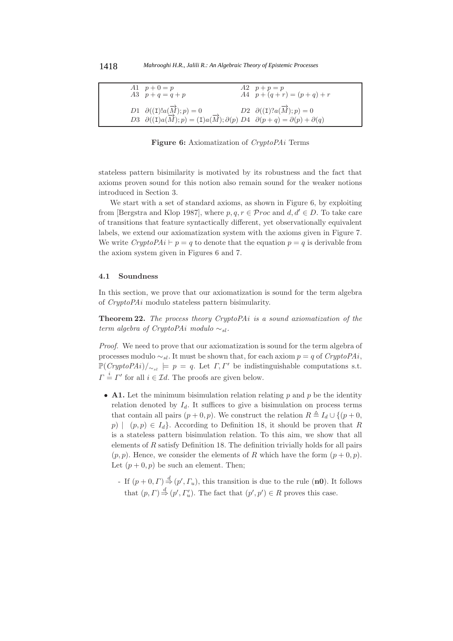| A1 $p + 0 = p$<br>$A3 \quad p+q = q+p$                                                                                                                                                     | $A2 \quad p+p=p$<br>$A4 \quad p + (q + r) = (p + q) + r$ |
|--------------------------------------------------------------------------------------------------------------------------------------------------------------------------------------------|----------------------------------------------------------|
| D1 $\partial((\mathbf{I})!a(\overrightarrow{M});p) = 0$<br>D3 $\partial((I)a(\overrightarrow{M});p) = (I)a(\overrightarrow{M});\partial(p) D4$ $\partial(p+q) = \partial(p) + \partial(q)$ | D2 $\partial((\mathbf{I})?a(\overrightarrow{M});p) = 0$  |

**Figure 6:** Axiomatization of *CryptoPAi* Terms

stateless pattern bisimilarity is motivated by its robustness and the fact that axioms proven sound for this notion also remain sound for the weaker notions introduced in Section 3.

We start with a set of standard axioms, as shown in Figure 6, by exploiting from [Bergstra and Klop 1987], where  $p, q, r \in \mathcal{P}$  roc and  $d, d' \in D$ . To take care of transitions that feature syntactically different, yet observationally equivalent labels, we extend our axiomatization system with the axioms given in Figure 7. We write  $CryptoPAi \vdash p = q$  to denote that the equation  $p = q$  is derivable from the axiom system given in Figures 6 and 7.

#### **4.1 Soundness**

In this section, we prove that our axiomatization is sound for the term algebra of *CryptoPAi* modulo stateless pattern bisimularity.

**Theorem 22.** *The process theory CryptoPAi is a sound axiomatization of the term algebra of CryptoPAi modulo* ∼sl.

*Proof.* We need to prove that our axiomatization is sound for the term algebra of processes modulo  $\sim_{sl}$ . It must be shown that, for each axiom  $p = q$  of *CryptoPAi*,  $\mathbb{P}(CryptoPAi)/_{\sim_{sl}} \models p = q.$  Let  $\Gamma, \Gamma'$  be indistinguishable computations s.t.  $\Gamma = I'$  for all  $i \in \mathcal{I}d$ . The proofs are given below.

- **A1.** Let the minimum bisimulation relation relating  $p$  and  $p$  be the identity relation denoted by  $I_d$ . It suffices to give a bisimulation on process terms that contain all pairs  $(p+0, p)$ . We construct the relation  $R \triangleq I_d \cup \{(p+0, p)\}$ p)  $(p, p) \in I_d$ . According to Definition 18, it should be proven that R is a stateless pattern bisimulation relation. To this aim, we show that all elements of  $R$  satisfy Definition 18. The definition trivially holds for all pairs  $(p, p)$ . Hence, we consider the elements of R which have the form  $(p + 0, p)$ . Let  $(p+0, p)$  be such an element. Then;
	- If  $(p+0, \Gamma) \stackrel{d}{\Rightarrow} (p', \Gamma_u)$ , this transition is due to the rule (**n0**). It follows that  $(p, \Gamma) \stackrel{d}{\Rightarrow} (p', \Gamma'_u)$ . The fact that  $(p', p') \in R$  proves this case.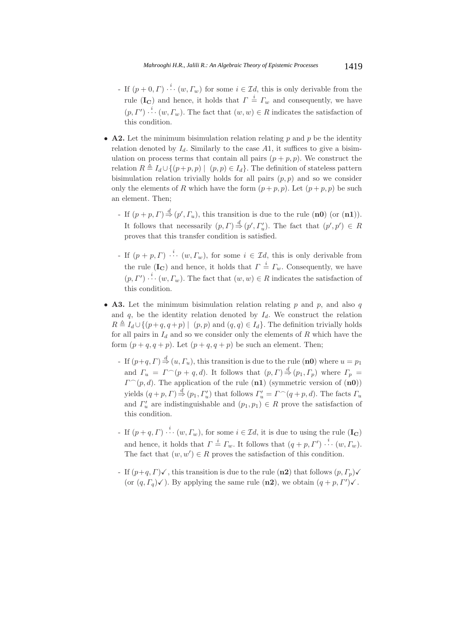- If  $(p+0,\Gamma) \stackrel{i}{\cdots} (w,\Gamma_w)$  for some  $i \in \mathcal{I}d$ , this is only derivable from the rule (**I<sub>C</sub>**) and hence, it holds that  $\Gamma = \Gamma_w$  and consequently, we have  $(p, \Gamma')$   $\stackrel{i}{\cdots}$   $(w, \Gamma_w)$ . The fact that  $(w, w) \in R$  indicates the satisfaction of this condition.
- **A2.** Let the minimum bisimulation relation relating  $p$  and  $p$  be the identity relation denoted by  $I_d$ . Similarly to the case A1, it suffices to give a bisimulation on process terms that contain all pairs  $(p + p, p)$ . We construct the relation  $R \triangleq I_d \cup \{(p+p, p) \mid (p, p) \in I_d\}$ . The definition of stateless pattern bisimulation relation trivially holds for all pairs  $(p, p)$  and so we consider only the elements of R which have the form  $(p+p, p)$ . Let  $(p+p, p)$  be such an element. Then;
	- If  $(p+p, \Gamma) \stackrel{d}{\Rightarrow} (p', \Gamma_u)$ , this transition is due to the rule  $(\mathbf{n0})$  (or  $(\mathbf{n1})$ ). It follows that necessarily  $(p, \Gamma) \stackrel{d}{\Rightarrow} (p', \Gamma'_u)$ . The fact that  $(p', p') \in R$ proves that this transfer condition is satisfied.
	- If  $(p+p, \Gamma)$   $\stackrel{i}{\cdots}$   $(w, \Gamma_w)$ , for some  $i \in \mathcal{I}d$ , this is only derivable from the rule (**I<sub>C</sub>**) and hence, it holds that  $\Gamma \stackrel{i}{=} \Gamma_w$ . Consequently, we have  $(p, \Gamma')$   $\stackrel{i}{\cdots}$   $(w, \Gamma_w)$ . The fact that  $(w, w) \in R$  indicates the satisfaction of this condition.
- **A3.** Let the minimum bisimulation relation relating  $p$  and  $p$ , and also  $q$ and  $q$ , be the identity relation denoted by  $I_d$ . We construct the relation  $R \triangleq I_d \cup \{(p+q, q+p) \mid (p, p) \text{ and } (q, q) \in I_d\}.$  The definition trivially holds for all pairs in  $I_d$  and so we consider only the elements of R which have the form  $(p+q, q+p)$ . Let  $(p+q, q+p)$  be such an element. Then;
	- If  $(p+q, \Gamma) \stackrel{d}{\Rightarrow} (u, \Gamma_u)$ , this transition is due to the rule  $(\mathbf{n0})$  where  $u = p_1$ and  $\Gamma_u = \Gamma^{\frown}(p+q,d)$ . It follows that  $(p,\Gamma) \stackrel{d}{\Rightarrow} (p_1,\Gamma_p)$  where  $\Gamma_p =$  $\Gamma^{\frown}(p, d)$ . The application of the rule  $(\mathbf{n1})$  (symmetric version of  $(\mathbf{n0})$ ) yields  $(q+p, \Gamma) \stackrel{d}{\Rightarrow} (p_1, \Gamma'_u)$  that follows  $\Gamma'_u = \Gamma^{\frown}(q+p, d)$ . The facts  $\Gamma_u$ and  $\Gamma'_u$  are indistinguishable and  $(p_1, p_1) \in R$  prove the satisfaction of this condition.
	- If  $(p+q, \Gamma) \stackrel{i}{\cdots} (w, \Gamma_w)$ , for some  $i \in \mathcal{I}d$ , it is due to using the rule  $(\mathbf{I}_{\mathbf{C}})$ and hence, it holds that  $\Gamma \stackrel{i}{=} \Gamma_w$ . It follows that  $(q+p, \Gamma') \stackrel{i}{\cdots} (w, \Gamma_w)$ . The fact that  $(w, w') \in R$  proves the satisfaction of this condition.
	- If  $(p+q, \Gamma)$ , this transition is due to the rule (**n2**) that follows  $(p, \Gamma_p)$ (or  $(q, \Gamma_q)$  $\checkmark$ ). By applying the same rule (**n2**), we obtain  $(q + p, \Gamma')\checkmark$ .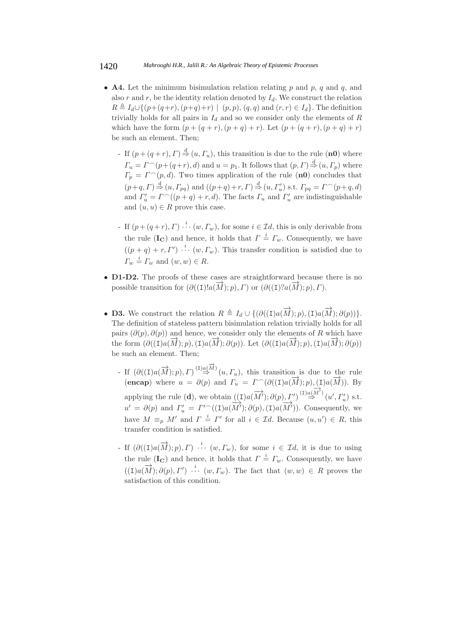- **A4.** Let the minimum bisimulation relation relating  $p$  and  $p$ ,  $q$  and  $q$ , and also r and r, be the identity relation denoted by  $I_d$ . We construct the relation  $R \triangleq I_d \cup \{(p+(q+r),(p+q)+r) \mid (p,p),(q,q) \text{ and } (r,r) \in I_d\}.$  The definition trivially holds for all pairs in  $I_d$  and so we consider only the elements of  $R$ which have the form  $(p + (q + r), (p + q) + r)$ . Let  $(p + (q + r), (p + q) + r)$ be such an element. Then;
	- If  $(p+(q+r),\Gamma) \stackrel{d}{\Rightarrow} (u,\Gamma_u)$ , this transition is due to the rule  $(\mathbf{n0})$  where  $\Gamma_u = \Gamma^{\frown}(p + (q+r), d)$  and  $u = p_1$ . It follows that  $(p, \Gamma) \stackrel{d}{\Rightarrow} (u, \Gamma_p)$  where  $\Gamma_p = \Gamma^{\frown}(p, d)$ . Two times application of the rule (**n0**) concludes that  $(p+q, \Gamma) \stackrel{d}{\Rightarrow} (u, \Gamma_{pq})$  and  $((p+q)+r, \Gamma) \stackrel{d}{\Rightarrow} (u, \Gamma'_u)$  s.t.  $\Gamma_{pq} = \Gamma^{\frown}(p+q, d)$ and  $\Gamma'_u = \Gamma^{\frown}((p+q) + r, d)$ . The facts  $\Gamma_u$  and  $\Gamma'_u$  are indistinguishable and  $(u, u) \in R$  prove this case.
	- If  $(p+(q+r),\Gamma) \stackrel{i}{\cdots} (w,\Gamma_w)$ , for some  $i \in \mathcal{I}d$ , this is only derivable from the rule (**I<sub>C</sub>**) and hence, it holds that  $\Gamma \stackrel{i}{=} \Gamma_w$ . Consequently, we have  $((p+q)+r, \Gamma') \stackrel{i}{\cdots} (w, \Gamma_w)$ . This transfer condition is satisfied due to  $\Gamma_w \stackrel{i}{=} \Gamma_w$  and  $(w, w) \in R$ .
- **D1-D2.** The proofs of these cases are straightforward because there is no possible transition for  $(\partial((I)!a(\overrightarrow{M}); p), \Gamma)$  or  $(\partial((I)!a(\overrightarrow{M}); p), \Gamma)$ .
- **D3.** We construct the relation  $R \triangleq I_d \cup \{(\partial((I)a(\overrightarrow{M}); p), (I)a(\overrightarrow{M}); \partial(p))\}.$ The definition of stateless pattern bisimulation relation trivially holds for all pairs  $(\partial(p), \partial(p))$  and hence, we consider only the elements of R which have the form  $(\partial((I)a(\overline{M}); p), (I)a(\overline{M}); \partial(p))$ . Let  $(\partial((I)a(\overline{M}); p), (I)a(\overline{M}); \partial(p))$ be such an element. Then;
	- If  $(\partial((I)a(\overrightarrow{M}); p), \Gamma) \stackrel{(I)a(\overrightarrow{M})}{\Rightarrow}(u, \Gamma_u)$ , this transition is due to the rule (**encap**) where  $u = \partial(p)$  and  $\Gamma_u = \Gamma^{\frown}(\partial((I)a(\overline{M}); p), (I)a(\overline{M})).$  By applying the rule (**d**), we obtain  $((I)a(\overrightarrow{M}'); \partial(p), \Gamma') \stackrel{(I)a(\overrightarrow{M})}{\Rightarrow} (u', \Gamma'_u)$  s.t.  $u' = \partial(p)$  and  $\Gamma'_u = \Gamma'^\frown((I)a(\overline{M'}); \partial(p), (I)a(\overline{M'})).$  Consequently, we have  $M \equiv_p M'$  and  $\Gamma = \Gamma'$  for all  $i \in \mathcal{I}d$ . Because  $(u, u') \in R$ , this transfer condition is satisfied.
	- If  $(\partial((I)a(\overrightarrow{M}); p), \Gamma) \stackrel{i}{\cdots} (w, \Gamma_w)$ , for some  $i \in \mathcal{I}d$ , it is due to using the rule (**I<sub>C</sub>**) and hence, it holds that  $\Gamma = \Gamma_w$ . Consequently, we have  $((I)a(\overrightarrow{M}); \partial(p), \Gamma')$   $\cdots$   $(w, \Gamma_w)$ . The fact that  $(w, w) \in R$  proves the satisfaction of this condition.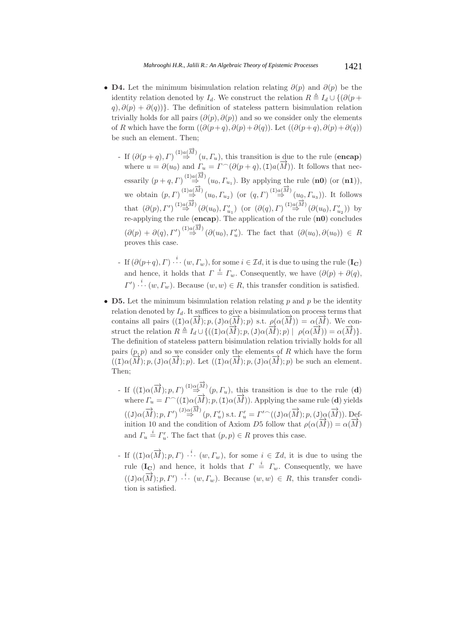- **D4.** Let the minimum bisimulation relation relating  $\partial(p)$  and  $\partial(p)$  be the identity relation denoted by  $I_d$ . We construct the relation  $R \triangleq I_d \cup \{(\partial (p +$  $q, \partial(p) + \partial(q)$ }. The definition of stateless pattern bisimulation relation trivially holds for all pairs  $(\partial(p), \partial(p))$  and so we consider only the elements of R which have the form  $((\partial (p+q), \partial (p) + \partial (q))$ . Let  $((\partial (p+q), \partial (p) + \partial (q))$ be such an element. Then;
	- If  $(\partial(p+q), \Gamma)^{(\text{I})} \stackrel{(1)}{\Rightarrow} (u, \Gamma_u)$ , this transition is due to the rule (**encap**) where  $u = \partial(u_0)$  and  $\Gamma_u = \Gamma^{\frown}(\partial(p+q), (1)a(M))$ . It follows that necessarily  $(p+q, \Gamma) \stackrel{(I) a(\overrightarrow{M})}{\Rightarrow} (u_0, \Gamma_{u_1})$ . By applying the rule  $(\mathbf{n0})$  (or  $(\mathbf{n1})$ ), we obtain  $(p, \Gamma) \stackrel{(1) a (\overrightarrow{M})}{\Rightarrow} (u_0, \Gamma_{u_2})$  (or  $(q, \Gamma) \stackrel{(1) a (\overrightarrow{M})}{\Rightarrow} (u_0, \Gamma_{u_3})$ ). It follows that  $(\partial(p), \Gamma') \stackrel{(1) a(\overrightarrow{M})}{\Rightarrow} (\partial(u_0), \Gamma'_{u_1})$  (or  $(\partial(q), \Gamma) \stackrel{(1) a(\overrightarrow{M})}{\Rightarrow} (\partial(u_0), \Gamma'_{u_2})$ ) by re-applying the rule (**encap**). The application of the rule (**n0**) concludes  $(\partial(p) + \partial(q), \Gamma') \stackrel{(\text{I})a(\overrightarrow{M})}{\Rightarrow} (\partial(u_0), \Gamma'_u)$ . The fact that  $(\partial(u_0), \partial(u_0)) \in R$ proves this case.
	- If  $(\partial(p+q), \Gamma) \stackrel{i}{\cdots} (w, \Gamma_w)$ , for some  $i \in \mathcal{I}d$ , it is due to using the rule  $(\mathbf{I}_{\mathbf{C}})$ and hence, it holds that  $\Gamma =^i \Gamma_w$ . Consequently, we have  $(\partial(p) + \partial(q))$ ,  $\Gamma'$ )  $\stackrel{i}{\cdots}$   $(w, \Gamma_w)$ . Because  $(w, w) \in R$ , this transfer condition is satisfied.
- **D5.** Let the minimum bisimulation relation relating  $p$  and  $p$  be the identity relation denoted by  $I_d$ . It suffices to give a bisimulation on process terms that contains all pairs  $((I)\alpha(\overline{M}); p, (J)\alpha(\overline{M}); p)$  s.t.  $\rho(\alpha(\overline{M})) = \alpha(\overline{M})$ . We construct the relation  $R \triangleq I_d \cup \{((I)\alpha(\overline{M}); p, (J)\alpha(\overline{M}); p) \mid \rho(\alpha(\overline{M})) = \alpha(\overline{M})\}.$ The definition of stateless pattern bisimulation relation trivially holds for all pairs  $(p, p)$  and so we consider only the elements of R which have the form  $((I)\alpha(\overline{M}); p, (J)\alpha(\overline{M}); p)$ . Let  $((I)\alpha(\overline{M}); p, (J)\alpha(\overline{M}); p)$  be such an element. Then;
	- If  $((I)\alpha(\overrightarrow{M}); p, \Gamma) \stackrel{(I)\alpha(\overrightarrow{M})}{\Rightarrow} (p, \Gamma_u)$ , this transition is due to the rule (**d**) where  $\Gamma_u = \Gamma^{\frown}((1)\alpha(\overline{M}); p, (1)\alpha(\overline{M})).$  Applying the same rule (**d**) yields  $((J) \alpha(\overrightarrow{M}); p, \Gamma') \stackrel{(J) \alpha(\overrightarrow{M})}{\Rightarrow} (p, \Gamma_u')$  s.t.  $\Gamma_u' = \Gamma' \widehat{\phantom{a}}((J) \alpha(\overrightarrow{M}); p, (J) \alpha(\overrightarrow{M})).$  Definition 10 and the condition of Axiom D5 follow that  $\rho(\alpha(\overline{M})) = \alpha(\overline{M})$ and  $\Gamma_u \stackrel{i}{=} \Gamma'_u$ . The fact that  $(p, p) \in R$  proves this case.
	- If  $((I)\alpha(\overrightarrow{M}); p, \Gamma)$   $\cdots$   $(w, \Gamma_w)$ , for some  $i \in \mathcal{I}d$ , it is due to using the rule (**I<sub>C</sub>**) and hence, it holds that  $\Gamma = \Gamma_w$ . Consequently, we have  $((J)\alpha(\overrightarrow{M}); p, \Gamma')$   $\cdots$   $(w, \Gamma_w)$ . Because  $(w, w) \in R$ , this transfer condition is satisfied.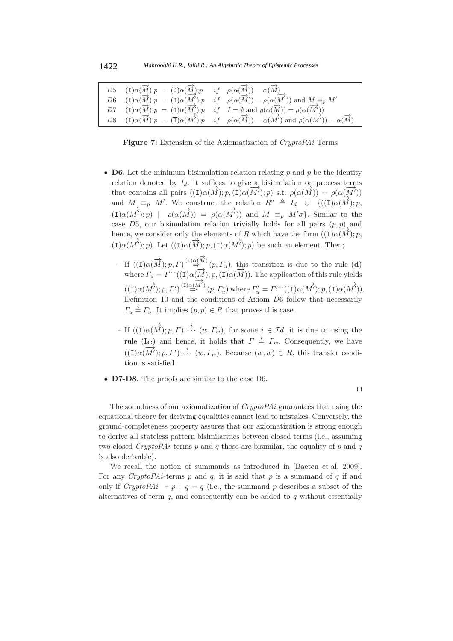| D5 $(I)\alpha(\overrightarrow{M}); p = (J)\alpha(\overrightarrow{M}); p \quad if \quad \rho(\alpha(\overrightarrow{M})) = \alpha(\overrightarrow{M})$ |                                                                                                                                                                                                                                                      |
|-------------------------------------------------------------------------------------------------------------------------------------------------------|------------------------------------------------------------------------------------------------------------------------------------------------------------------------------------------------------------------------------------------------------|
|                                                                                                                                                       | $D6$ $(I)\alpha(\overrightarrow{M}); p = (I)\alpha(\overrightarrow{M}'); p \quad if \quad \rho(\alpha(\overrightarrow{M})) = \rho(\alpha(\overrightarrow{M}'))$ and $M \equiv_p M'$                                                                  |
|                                                                                                                                                       | D7 (I) $\alpha(\vec{M})$ ; $p = (I)\alpha(M')$ ; $p$ if $I = \emptyset$ and $\rho(\alpha(\vec{M})) = \rho(\alpha(M'))$                                                                                                                               |
|                                                                                                                                                       | D8 $(I)\alpha(\overrightarrow{M}); p = (\overrightarrow{I})\alpha(\overrightarrow{M}'); p \quad if \quad \rho(\alpha(\overrightarrow{M})) = \alpha(\overrightarrow{M'}) \text{ and } \rho(\alpha(\overrightarrow{M'})) = \alpha(\overrightarrow{M})$ |

**Figure 7:** Extension of the Axiomatization of *CryptoPAi* Terms

- **D6.** Let the minimum bisimulation relation relating p and p be the identity relation denoted by  $I_d$ . It suffices to give a bisimulation on process terms that contains all pairs  $((I)\alpha(\overline{M}); p, (I)\alpha(\overline{M}'); p)$  s.t.  $\rho(\alpha(\overline{M})) = \rho(\alpha(\overline{M}'))$ and  $M \equiv_p M'$ . We construct the relation  $R^{\sigma} \triangleq I_d \cup \{((I)\alpha(\overline{M}); p,$  $(1) \alpha(\overrightarrow{M}'); p$  |  $\rho(\alpha(\overrightarrow{M})) = \rho(\alpha(\overrightarrow{M}'))$  and  $M \equiv_p M'\sigma$ . Similar to the case  $D5$ , our bisimulation relation trivially holds for all pairs  $(p, p)$  and hence, we consider only the elements of R which have the form  $((I)\alpha(\overline{M}); p,$ (I) $\alpha(\overrightarrow{M})$ ; p). Let  $((\text{I})\alpha(\overrightarrow{M}); p, (\text{I})\alpha(\overrightarrow{M}'); p)$  be such an element. Then;
	- If  $((I)\alpha(\overrightarrow{M}); p, \Gamma) \stackrel{(I)\alpha(\overrightarrow{M})}{\Rightarrow} (p, \Gamma_u)$ , this transition is due to the rule (**d**) where  $\Gamma_u = \Gamma^{\frown}((1) \alpha(\overrightarrow{M}); p, (1) \alpha(\overrightarrow{M})).$  The application of this rule yields  $((I)\alpha(\overrightarrow{M}'); p, \Gamma') \stackrel{(\mathbf{I})\alpha(\overrightarrow{M'})}{\Rightarrow} (p, \Gamma'_u)$  where  $\Gamma'_u = \Gamma' \widehat{((I)\alpha(\overrightarrow{M}'); p, (\mathbf{I})\alpha(\overrightarrow{M}')).$ Definition 10 and the conditions of Axiom  $D6$  follow that necessarily  $\Gamma_u \stackrel{i}{=} \Gamma'_u$ . It implies  $(p, p) \in R$  that proves this case.
	- If  $((I)\alpha(\overrightarrow{M}); p, \Gamma)$   $\cdots$   $(w, \Gamma_w)$ , for some  $i \in \mathcal{I}d$ , it is due to using the rule (**I<sub>C</sub>**) and hence, it holds that  $\Gamma = \Gamma_w$ . Consequently, we have  $((I)\alpha(\overrightarrow{M}'); p, \Gamma')$   $\cdots$   $(w, \Gamma_w)$ . Because  $(w, w) \in R$ , this transfer condition is satisfied.
- **D7-D8.** The proofs are similar to the case D6.

 $\Box$ 

The soundness of our axiomatization of *CryptoPAi* guarantees that using the equational theory for deriving equalities cannot lead to mistakes. Conversely, the ground-completeness property assures that our axiomatization is strong enough to derive all stateless pattern bisimilarities between closed terms (i.e., assuming two closed *CryptoPAi*-terms p and q those are bisimilar, the equality of p and q is also derivable).

We recall the notion of summands as introduced in [Baeten et al. 2009]. For any *CryptoPAi*-terms  $p$  and  $q$ , it is said that  $p$  is a summand of  $q$  if and only if *CryptoPAi*  $\vdash p + q = q$  (i.e., the summand p describes a subset of the alternatives of term  $q$ , and consequently can be added to  $q$  without essentially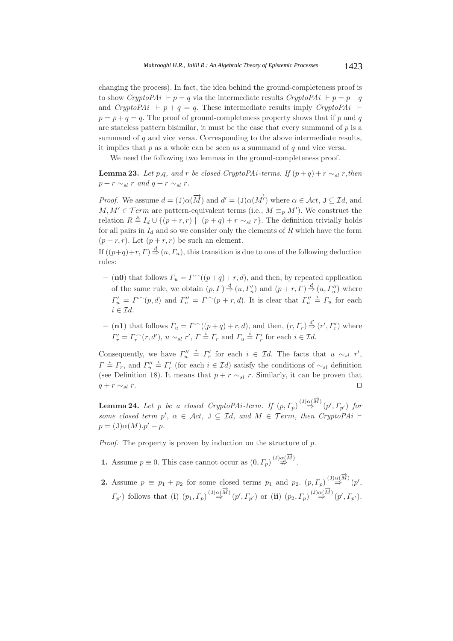changing the process). In fact, the idea behind the ground-completeness proof is to show *CryptoPAi*  $\vdash p = q$  via the intermediate results *CryptoPAi*  $\vdash p = p + q$ and *CryptoPAi*  $\vdash p + q = q$ . These intermediate results imply *CryptoPAi*  $\vdash$  $p = p + q = q$ . The proof of ground-completeness property shows that if p and q are stateless pattern bisimilar, it must be the case that every summand of  $p$  is a summand of q and vice versa. Corresponding to the above intermediate results, it implies that  $p$  as a whole can be seen as a summand of  $q$  and vice versa.

We need the following two lemmas in the ground-completeness proof.

**Lemma 23.** *Let*  $p,q$ *, and*  $r$  *be closed CryptoPAi-terms. If*  $(p+q) + r \sim_{sl} r$ *,then*  $p + r \sim_{sl} r$  *and*  $q + r \sim_{sl} r$ *.* 

*Proof.* We assume  $d = (\mathbf{J})\alpha(\overrightarrow{M})$  and  $d' = (\mathbf{J})\alpha(\overrightarrow{M'})$  where  $\alpha \in \mathcal{A}ct$ ,  $\mathbf{J} \subseteq \mathcal{I}d$ , and  $M, M' \in \mathcal{F}erm$  are pattern-equivalent terms (i.e.,  $M \equiv_p M'$ ). We construct the relation  $R \triangleq I_d \cup \{(p+r,r) \mid (p+q)+r \sim_{sl} r\}$ . The definition trivially holds for all pairs in  $I_d$  and so we consider only the elements of R which have the form  $(p + r, r)$ . Let  $(p + r, r)$  be such an element.

If  $((p+q)+r, \Gamma) \stackrel{d}{\Rightarrow} (u, \Gamma_u)$ , this transition is due to one of the following deduction rules:

- $-$  (**n0**) that follows  $\Gamma_u = \Gamma^{\frown}((p+q) + r, d)$ , and then, by repeated application of the same rule, we obtain  $(p, \Gamma) \stackrel{d}{\Rightarrow} (u, \Gamma'_u)$  and  $(p + r, \Gamma) \stackrel{d}{\Rightarrow} (u, \Gamma''_u)$  where  $\Gamma'_u = \Gamma^{\frown}(p, d)$  and  $\Gamma''_u = \Gamma^{\frown}(p + r, d)$ . It is clear that  $\Gamma''_u$  $\stackrel{i}{=} \Gamma_u$  for each  $i \in \mathcal{I}d$ .
- $-$  (**n1**) that follows  $\Gamma_u = \Gamma^{\frown}((p+q) + r, d)$ , and then,  $(r, \Gamma_r) \stackrel{d'}{\Rightarrow} (r', \Gamma_r')$  where  $\Gamma'_r = \Gamma_r^{\frown}(r, d'), u \sim_{sl} r', \Gamma \stackrel{i}{=} \Gamma_r$  and  $\Gamma_u \stackrel{i}{=} \Gamma'_r$  for each  $i \in \mathcal{I}d$ .

Consequently, we have  $\Gamma''_u$  $\stackrel{i}{=} \Gamma'_r$  for each  $i \in \mathcal{I}d$ . The facts that  $u \sim_{sl} r'$ ,  $\Gamma \stackrel{i}{=} \Gamma_r$ , and  $\Gamma''_u$  $\stackrel{i}{=} \Gamma'_r$  (for each  $i \in \mathcal{I}d$ ) satisfy the conditions of  $\sim_{sl}$  definition (see Definition 18). It means that  $p + r \sim_{sl} r$ . Similarly, it can be proven that  $q + r \sim_{sl} r$ .

**Lemma 24.** Let p be a closed CryptoPAi-term. If  $(p, \Gamma_p)^{(J) \alpha(\overrightarrow{M})}$   $(p', \Gamma_{p'})$  for some closed term  $p'$ ,  $\alpha \in \mathcal{A}ct$ ,  $J \subseteq \mathcal{I}d$ , and  $M \in \mathcal{I}erm$ , then CryptoPAi  $\vdash$  $p = (J)\alpha(M) \cdot p' + p.$ 

*Proof.* The property is proven by induction on the structure of p.

- **1.** Assume  $p \equiv 0$ . This case cannot occur as  $(0, \Gamma_p)^{(\text{J})} \overset{(\text{J})}{\not\Rightarrow}$ .
- **2.** Assume  $p \equiv p_1 + p_2$  for some closed terms  $p_1$  and  $p_2$ .  $(p, \Gamma_p) \stackrel{(J)\alpha(\overrightarrow{M})}{\Rightarrow} (p', p')$  $\Gamma_{p'}$ ) follows that (**i**)  $(p_1, \Gamma_p) \stackrel{(3)\alpha(\overrightarrow{M})}{\Rightarrow} (p', \Gamma_{p'})$  or (**ii**)  $(p_2, \Gamma_p) \stackrel{(3)\alpha(\overrightarrow{M})}{\Rightarrow} (p', \Gamma_{p'}).$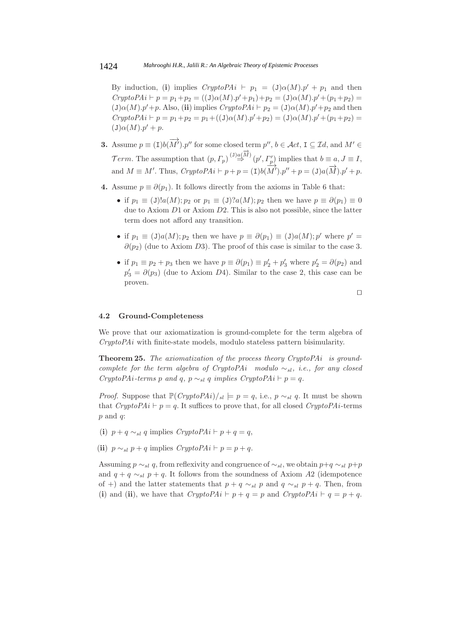By induction, (i) implies  $CryptoPAi$   $\vdash$   $p_1$  =  $(\text{J})\alpha(M).p' + p_1$  and then  $CryptoPAi\vdash p=p_1+p_2=((J)\alpha(M).p'+p_1)+p_2=(J)\alpha(M).p'+(p_1+p_2)=$  $(\text{J})\alpha(M) \cdot p' + p$ . Also, (**ii**) implies  $CryptoPAi \vdash p_2 = (\text{J})\alpha(M) \cdot p' + p_2$  and then  $CryptoPAi\vdash p = p_1+p_2 = p_1+((J)\alpha(M).p'+p_2) = (J)\alpha(M).p'+(p_1+p_2) =$  $(\text{J})\alpha(M) \cdot p' + p.$ 

- **3.** Assume  $p \equiv (\mathbf{I})b(\overrightarrow{M}')$ . p'' for some closed term  $p''$ ,  $b \in \mathcal{A}ct$ ,  $\mathbf{I} \subseteq \mathcal{I}d$ , and  $M' \in$ Term. The assumption that  $(p, \Gamma_p) \stackrel{(3) a(\overrightarrow{M})}{\Rightarrow} (p', \Gamma'_p)$  implies that  $b \equiv a, J \equiv I$ , and  $M \equiv M'$ . Thus,  $CryptoPAi \vdash p + p = (I)b(M') \cdot p'' + p = (J)a(\overrightarrow{M}) \cdot p' + p$ .
- **4.** Assume  $p \equiv \partial(p_1)$ . It follows directly from the axioms in Table 6 that:
	- if  $p_1 \equiv (J)! a(M); p_2 \text{ or } p_1 \equiv (J)! a(M); p_2 \text{ then we have } p \equiv \partial(p_1) \equiv 0$ due to Axiom D1 or Axiom D2. This is also not possible, since the latter term does not afford any transition.
	- if  $p_1 \equiv (J)a(M); p_2$  then we have  $p \equiv \partial(p_1) \equiv (J)a(M); p'$  where  $p' =$  $\partial(p_2)$  (due to Axiom D3). The proof of this case is similar to the case 3.
	- if  $p_1 \equiv p_2 + p_3$  then we have  $p \equiv \partial(p_1) \equiv p'_2 + p'_3$  where  $p'_2 = \partial(p_2)$  and  $p'_3 = \partial(p_3)$  (due to Axiom D4). Similar to the case 2, this case can be proven.

$$
\Box
$$

#### **4.2 Ground-Completeness**

We prove that our axiomatization is ground-complete for the term algebra of *CryptoPAi* with finite-state models, modulo stateless pattern bisimularity.

**Theorem 25.** *The axiomatization of the process theory CryptoPAi is groundcomplete for the term algebra of CryptoPAi modulo* ∼sl, *i.e., for any closed CryptoPAi-terms* p *and* q*,*  $p \sim_{sl} q$  *implies CryptoPAi*  $\vdash p = q$ *.* 

*Proof.* Suppose that  $\mathbb{P}(CryptoPAi)/_{sl} \models p = q$ , i.e.,  $p \sim_{sl} q$ . It must be shown that  $CryptoPAi \vdash p = q$ . It suffices to prove that, for all closed  $CryptoPAi$ -terms  $p$  and  $q$ :

- (**i**)  $p + q \sim_{sl} q$  implies  $CryptoPAi \vdash p + q = q$ ,
- (**ii**)  $p \sim_{sl} p + q$  implies  $CryptoPAi \vdash p = p + q$ .

Assuming  $p \sim_{sl} q$ , from reflexivity and congruence of  $\sim_{sl}$ , we obtain  $p+q \sim_{sl} p+p$ and  $q + q \sim_{sl} p + q$ . It follows from the soundness of Axiom A2 (idempotence of +) and the latter statements that  $p + q \sim_{sl} p$  and  $q \sim_{sl} p + q$ . Then, from (**i**) and (**ii**), we have that  $CryptoPAi \vdash p + q = p$  and  $CryptoPAi \vdash q = p + q$ .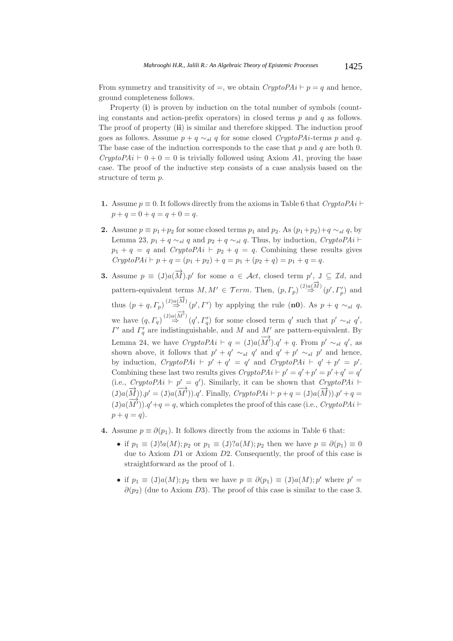From symmetry and transitivity of  $=$ , we obtain  $CryptoPAi \vdash p = q$  and hence, ground completeness follows.

Property (**i**) is proven by induction on the total number of symbols (counting constants and action-prefix operators) in closed terms  $p$  and  $q$  as follows. The proof of property (**ii**) is similar and therefore skipped. The induction proof goes as follows. Assume  $p + q \sim_{sl} q$  for some closed *CryptoPAi*-terms p and q. The base case of the induction corresponds to the case that  $p$  and  $q$  are both 0. *CryptoPAi*  $\vdash$  0 + 0 = 0 is trivially followed using Axiom A1, proving the base case. The proof of the inductive step consists of a case analysis based on the structure of term p.

- **1.** Assume  $p \equiv 0$ . It follows directly from the axioms in Table 6 that  $CryptoPAi \vdash$  $p + q = 0 + q = q + 0 = q.$
- **2.** Assume  $p \equiv p_1+p_2$  for some closed terms  $p_1$  and  $p_2$ . As  $(p_1+p_2)+q \sim_{sl} q$ , by Lemma 23,  $p_1 + q \sim_{sl} q$  and  $p_2 + q \sim_{sl} q$ . Thus, by induction, *CryptoPAi* ⊢  $p_1 + q = q$  and *CryptoPAi*  $\vdash p_2 + q = q$ . Combining these results gives  $CryptoPAi\vdash p+q=(p_1+p_2)+q=p_1+(p_2+q)=p_1+q=q.$
- **3.** Assume  $p \equiv (J)a(\overrightarrow{M})$ .p' for some  $a \in \mathcal{A}ct$ , closed term p',  $J \subseteq \mathcal{I}d$ , and pattern-equivalent terms  $M, M' \in \mathcal{F}erm$ . Then,  $(p, \Gamma_p) \stackrel{(J) a(\overrightarrow{M})}{\Rightarrow} (p', \Gamma'_p)$  and thus  $(p+q, \Gamma_p) \stackrel{(3) \alpha(\overrightarrow{M})}{\Rightarrow} (p', \Gamma')$  by applying the rule (**n0**). As  $p+q \sim_{sl} q$ , we have  $(q, \Gamma_q) \stackrel{(3) \alpha(\overrightarrow{M})}{\Rightarrow} (q', \Gamma'_q)$  for some closed term q' such that  $p' \sim_{sl} q'$ ,  $\Gamma'$  and  $\Gamma'_q$  are indistinguishable, and M and M' are pattern-equivalent. By Lemma 24, we have  $CryptoPAi \vdash q = (\text{J})a(\overrightarrow{M}') \cdot q' + q$ . From p'  $\sim_{sl} q'$ , as shown above, it follows that  $p' + q' \sim_{sl} q'$  and  $q' + p' \sim_{sl} p'$  and hence, by induction,  $CryptoPAi \vdash p'+q' = q'$  and  $CryptoPAi \vdash q'+p' = p'$ . Combining these last two results gives  $CryptoPAi\vdash p'=q'+p'=p'+q'=q'$  $(i.e., *CryptoPAi*  $\vdash$  p' = q'. Similarly, it can be shown that *CryptoPAi*  $\vdash$$ (J)a( $\overrightarrow{M}$ ).p' = (J)a( $\overrightarrow{M}'$ ).q'. Finally, *CryptoPAi*  $\vdash p+q = (\text{J})a(\overrightarrow{M})$ .p' + q = (J)a( $\overline{M'}$ ).q'+q = q, which completes the proof of this case (i.e., *CryptoPAi*  $\vdash$  $p + q = q$ ).
- **4.** Assume  $p \equiv \partial(p_1)$ . It follows directly from the axioms in Table 6 that:
	- if  $p_1 \equiv (J)!a(M); p_2 \text{ or } p_1 \equiv (J)!a(M); p_2 \text{ then we have } p \equiv \partial(p_1) \equiv 0$ due to Axiom D1 or Axiom D2. Consequently, the proof of this case is straightforward as the proof of 1.
	- if  $p_1 \equiv (J)a(M); p_2$  then we have  $p \equiv \partial(p_1) \equiv (J)a(M); p'$  where  $p' =$  $\partial(p_2)$  (due to Axiom D3). The proof of this case is similar to the case 3.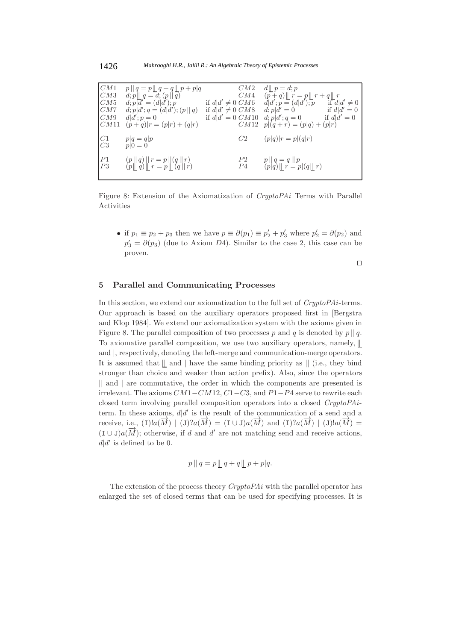| CM1<br>CM3<br>CM5<br>CM7<br>CM9<br>CM11 | $p    q = p    q + q    p + p   q$<br>$d;p  q=d;(p  \overline{q})$<br>$d; p\overline{d}' = (d\overline{d}'); p$<br>$d; p d'; q = (d d'); (p  q)$<br>$d/d$ : $p=0$<br>$(p+q) r = (p r) + (q r)$ | CM2<br>CM4<br>if $d/d' \neq 0$ CM6<br>if $d/d' \neq 0 \, CMS$<br>if $d d' = 0$ CM10<br>CM12 | $d \parallel p=d; p$<br>$(p+q)$ $r = p$ $r + q$ $r$<br>$d d'; p = (d d'); p$<br>if $d d' \neq 0$<br>$d; p d' = 0$ if $d d' = 0$<br>$d; p d'; q = 0$<br>if $d d'=0$<br>$p (q+r) = (p q) + (p r)$ |
|-----------------------------------------|------------------------------------------------------------------------------------------------------------------------------------------------------------------------------------------------|---------------------------------------------------------------------------------------------|-------------------------------------------------------------------------------------------------------------------------------------------------------------------------------------------------|
| $\mathop{C}^1\limits_{C3}$              | $p q = q p$<br>$p 0=0$                                                                                                                                                                         | C2                                                                                          | $(p q) r = p (q r)$                                                                                                                                                                             |
| $\frac{P1}{P3}$                         | $(p  q)  r = p  (q  r)$<br>$(p  q)  r = p  q  r$                                                                                                                                               | P2<br>P4                                                                                    | $p  q=q  p$<br>$(p q)$ $\lfloor r = p (q \lfloor r)$                                                                                                                                            |

Figure 8: Extension of the Axiomatization of *CryptoPAi* Terms with Parallel Activities

• if  $p_1 \equiv p_2 + p_3$  then we have  $p \equiv \partial(p_1) \equiv p'_2 + p'_3$  where  $p'_2 = \partial(p_2)$  and  $p'_3 = \partial(p_3)$  (due to Axiom D4). Similar to the case 2, this case can be proven.

 $\Box$ 

## **5 Parallel and Communicating Processes**

In this section, we extend our axiomatization to the full set of *CryptoPAi*-terms. Our approach is based on the auxiliary operators proposed first in [Bergstra and Klop 1984]. We extend our axiomatization system with the axioms given in Figure 8. The parallel composition of two processes p and q is denoted by  $p \mid q$ . To axiomatize parallel composition, we use two auxiliary operators, namely, and  $\vert$ , respectively, denoting the left-merge and communication-merge operators. It is assumed that  $\parallel$  and  $\parallel$  have the same binding priority as  $\parallel$  (i.e., they bind stronger than choice and weaker than action prefix). Also, since the operators || and | are commutative, the order in which the components are presented is irrelevant. The axioms  $CM1-CM12$ ,  $C1-C3$ , and  $P1-P4$  serve to rewrite each closed term involving parallel composition operators into a closed *CryptoPAi*term. In these axioms,  $d/d'$  is the result of the communication of a send and a receive, i.e.,  $(1)!a(\vec{M}) | (J)?a(\vec{M}) = (I \cup J)a(\vec{M})$  and  $(1)?a(\vec{M}) | (J)!a(\vec{M}) =$ (I ∪ J)a( $\overline{M}$ ); otherwise, if d and d' are not matching send and receive actions,  $d|d'$  is defined to be 0.

$$
p \mid q = p \mid q + q \mid p + p | q.
$$

The extension of the process theory *CryptoPAi* with the parallel operator has enlarged the set of closed terms that can be used for specifying processes. It is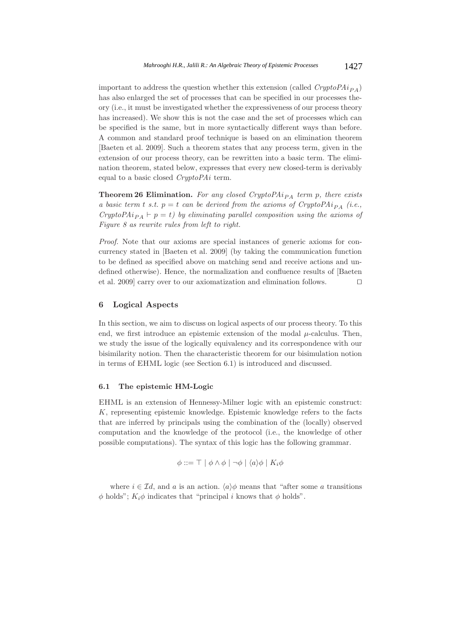important to address the question whether this extension (called  $CryptoPAi_{PA}$ ) has also enlarged the set of processes that can be specified in our processes theory (i.e., it must be investigated whether the expressiveness of our process theory has increased). We show this is not the case and the set of processes which can be specified is the same, but in more syntactically different ways than before. A common and standard proof technique is based on an elimination theorem [Baeten et al. 2009]. Such a theorem states that any process term, given in the extension of our process theory, can be rewritten into a basic term. The elimination theorem, stated below, expresses that every new closed-term is derivably equal to a basic closed *CryptoPAi* term.

**Theorem 26 Elimination.** For any closed CryptoPAi<sub>PA</sub> term p, there exists *a basic term t s.t.*  $p = t$  *can be derived from the axioms of CryptoPAi<sub>PA</sub> (i.e., CryptoPAi*  $p_A$   $\vdash$   $p = t$ *) by eliminating parallel composition using the axioms of Figure 8 as rewrite rules from left to right.*

*Proof.* Note that our axioms are special instances of generic axioms for concurrency stated in [Baeten et al. 2009] (by taking the communication function to be defined as specified above on matching send and receive actions and undefined otherwise). Hence, the normalization and confluence results of [Baeten et al. 2009] carry over to our axiomatization and elimination follows. 

## **6 Logical Aspects**

In this section, we aim to discuss on logical aspects of our process theory. To this end, we first introduce an epistemic extension of the modal  $\mu$ -calculus. Then, we study the issue of the logically equivalency and its correspondence with our bisimilarity notion. Then the characteristic theorem for our bisimulation notion in terms of EHML logic (see Section 6.1) is introduced and discussed.

## **6.1 The epistemic HM-Logic**

EHML is an extension of Hennessy-Milner logic with an epistemic construct: K, representing epistemic knowledge. Epistemic knowledge refers to the facts that are inferred by principals using the combination of the (locally) observed computation and the knowledge of the protocol (i.e., the knowledge of other possible computations). The syntax of this logic has the following grammar.

$$
\phi ::= \top \mid \phi \land \phi \mid \neg \phi \mid \langle a \rangle \phi \mid K_i \phi
$$

where  $i \in \mathcal{I}d$ , and a is an action.  $\langle a \rangle \phi$  means that "after some a transitions"  $\phi$  holds";  $K_i\phi$  indicates that "principal i knows that  $\phi$  holds".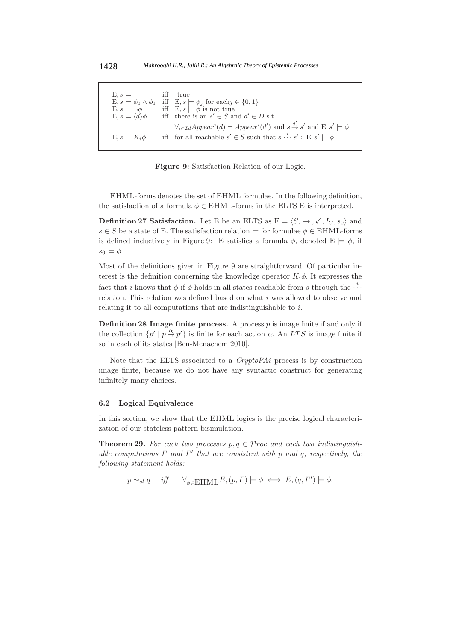E,  $s \models \top$  iff true<br>E,  $s \models \phi_0 \land \phi_1$  iff E,  $s \nmid$  $\mathbf{E}, s \models \phi_0 \land \phi_1 \text{ iff } \mathbf{E}, s \models \phi_j \text{ for each } j \in \{0, 1\}$  $E, s = \neg \phi$  iff  $E, s = \phi$  is not true  $E, s \models \neg \phi$ <br>  $E, s \models \langle d \rangle \phi$  $d\rho$  iff there is an  $s' \in S$  and  $d' \in D$  s.t.  $\forall_{i \in \mathcal{I}} dAppendi} = Appear^i(d')$  and  $s \stackrel{d'}{\rightarrow} s'$  and  $E, s' \models \phi$  $E, s \models K_i \phi$  iff for all reachable  $s' \in S$  such that  $s \stackrel{i}{\cdots} s' : E, s' \models \phi$ 

**Figure 9:** Satisfaction Relation of our Logic.

EHML-forms denotes the set of EHML formulae. In the following definition, the satisfaction of a formula  $\phi \in \text{EHML-forms}$  in the ELTS E is interpreted.

**Definition 27 Satisfaction.** Let E be an ELTS as  $E = \langle S, \rightarrow, \rightarrow, \bullet, I_C, s_0 \rangle$  and  $s \in S$  be a state of E. The satisfaction relation  $\models$  for formulae  $\phi \in \mathrm{EHML}$ -forms is defined inductively in Figure 9: E satisfies a formula  $\phi$ , denoted  $E \models \phi$ , if  $s_0 \models \phi$ .

Most of the definitions given in Figure 9 are straightforward. Of particular interest is the definition concerning the knowledge operator  $K_i\phi$ . It expresses the fact that i knows that  $\phi$  if  $\phi$  holds in all states reachable from s through the  $\cdots$ relation. This relation was defined based on what i was allowed to observe and relating it to all computations that are indistinguishable to i.

**Definition 28 Image finite process.** A process  $p$  is image finite if and only if the collection  $\{p' \mid p \stackrel{\alpha}{\rightarrow} p'\}$  is finite for each action  $\alpha$ . An LTS is image finite if so in each of its states [Ben-Menachem 2010].

Note that the ELTS associated to a *CryptoPAi* process is by construction image finite, because we do not have any syntactic construct for generating infinitely many choices.

#### **6.2 Logical Equivalence**

In this section, we show that the EHML logics is the precise logical characterization of our stateless pattern bisimulation.

**Theorem 29.** For each two processes  $p, q \in \mathcal{P}$  roc and each two indistinguish $a$ *ble computations*  $\Gamma$  *and*  $\Gamma'$  *that are consistent with* p *and* q, respectively, the *following statement holds:*

$$
p \sim_{sl} q
$$
 iff  $\forall_{\phi \in \text{EHML}} E, (p, \Gamma) \models \phi \iff E, (q, \Gamma') \models \phi.$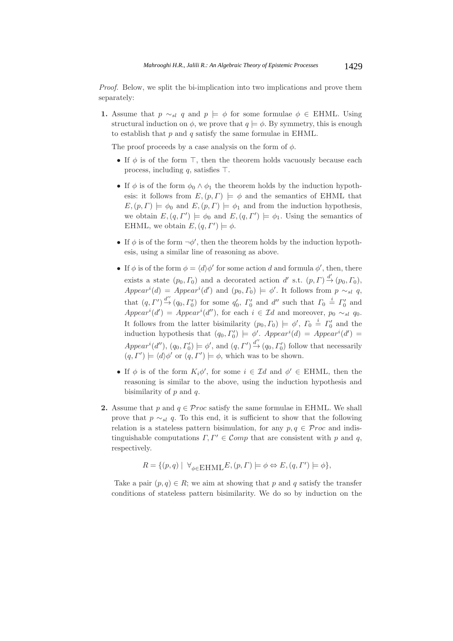*Proof.* Below, we split the bi-implication into two implications and prove them separately:

**1.** Assume that  $p \sim_{sl} q$  and  $p \models \phi$  for some formulae  $\phi \in \text{EHML}$ . Using structural induction on  $\phi$ , we prove that  $q \models \phi$ . By symmetry, this is enough to establish that  $p$  and  $q$  satisfy the same formulae in EHML.

The proof proceeds by a case analysis on the form of  $\phi$ .

- If  $\phi$  is of the form  $\top$ , then the theorem holds vacuously because each process, including  $q$ , satisfies  $\top$ .
- If  $\phi$  is of the form  $\phi_0 \wedge \phi_1$  the theorem holds by the induction hypothesis: it follows from  $E,(p, \Gamma) \models \phi$  and the semantics of EHML that  $E, (p, \Gamma) \models \phi_0$  and  $E, (p, \Gamma) \models \phi_1$  and from the induction hypothesis, we obtain  $E, (q, \Gamma') \models \phi_0$  and  $E, (q, \Gamma') \models \phi_1$ . Using the semantics of EHML, we obtain  $E, (q, \Gamma') \models \phi$ .
- If  $\phi$  is of the form  $\neg \phi'$ , then the theorem holds by the induction hypothesis, using a similar line of reasoning as above.
- If  $\phi$  is of the form  $\phi = \langle d \rangle \phi'$  for some action d and formula  $\phi'$ , then, there exists a state  $(p_0, \Gamma_0)$  and a decorated action d' s.t.  $(p, \Gamma) \stackrel{d'}{\rightarrow} (p_0, \Gamma_0)$ ,  $Appendi = Appear^i(d')$  and  $(p_0, \Gamma_0) \models \phi'$ . It follows from  $p \sim_{sl} q$ , that  $(q, \Gamma') \stackrel{d''}{\rightarrow} (q_0, \Gamma'_0)$  for some  $q'_0$ ,  $\Gamma'_0$  and  $d''$  such that  $\Gamma_0 \stackrel{i}{=} \Gamma'_0$  and  $Append'$  =  $Append'$  (d''), for each  $i \in \mathcal{I}d$  and moreover,  $p_0 \sim_{sl} q_0$ . It follows from the latter bisimilarity  $(p_0, \Gamma_0) \models \phi', \Gamma_0 \stackrel{i}{=} \Gamma'_0$  and the induction hypothesis that  $(q_0, \Gamma'_0) \models \phi'$ .  $Appendi) = Appendixi(d') =$  $Appendi'(d'')$ ,  $(q_0, \Gamma'_0) \models \phi'$ , and  $(q, \Gamma') \stackrel{d''}{\rightarrow} (q_0, \Gamma'_0)$  follow that necessarily  $(q, \Gamma') \models \langle d \rangle \phi'$  or  $(q, \Gamma') \models \phi$ , which was to be shown.
- If  $\phi$  is of the form  $K_i\phi'$ , for some  $i \in \mathcal{I}d$  and  $\phi' \in \mathrm{EHML}$ , then the reasoning is similar to the above, using the induction hypothesis and bisimilarity of  $p$  and  $q$ .
- **2.** Assume that p and  $q \in \mathcal Proc$  satisfy the same formulae in EHML. We shall prove that  $p \sim_{sl} q$ . To this end, it is sufficient to show that the following relation is a stateless pattern bisimulation, for any  $p, q \in \mathcal{P}roc$  and indistinguishable computations  $\Gamma, \Gamma' \in \mathcal{C}omp$  that are consistent with p and q, respectively.

$$
R = \{ (p, q) \mid \forall_{\phi \in \text{EHML}} E, (p, \Gamma) \models \phi \Leftrightarrow E, (q, \Gamma') \models \phi \},
$$

Take a pair  $(p, q) \in R$ ; we aim at showing that p and q satisfy the transfer conditions of stateless pattern bisimilarity. We do so by induction on the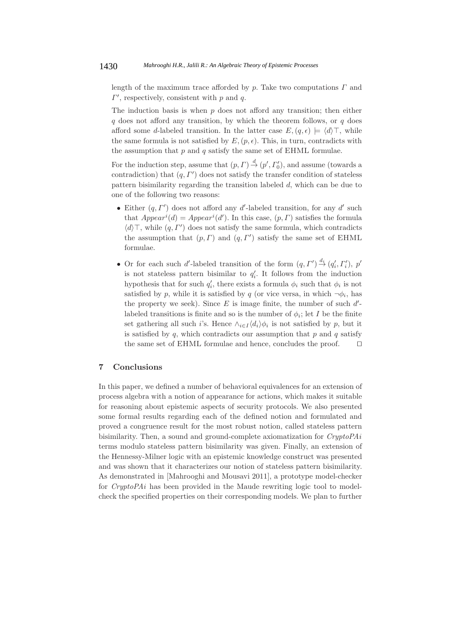length of the maximum trace afforded by  $p$ . Take two computations  $\Gamma$  and  $\Gamma'$ , respectively, consistent with p and q.

The induction basis is when  $p$  does not afford any transition; then either  $q$  does not afford any transition, by which the theorem follows, or  $q$  does afford some d-labeled transition. In the latter case  $E, (q, \epsilon) \models \langle d \rangle \top$ , while the same formula is not satisfied by  $E, (p, \epsilon)$ . This, in turn, contradicts with the assumption that  $p$  and  $q$  satisfy the same set of EHML formulae.

For the induction step, assume that  $(p, \Gamma) \stackrel{d}{\rightarrow} (p', \Gamma'_0)$ , and assume (towards a contradiction) that  $(q, \Gamma')$  does not satisfy the transfer condition of stateless pattern bisimilarity regarding the transition labeled d, which can be due to one of the following two reasons:

- Either  $(q, \Gamma')$  does not afford any d'-labeled transition, for any d' such that  $Appendi) = Appendixi(d')$ . In this case,  $(p, \Gamma)$  satisfies the formula  $\langle d \rangle$ , while  $(q, \Gamma')$  does not satisfy the same formula, which contradicts the assumption that  $(p, \Gamma)$  and  $(q, \Gamma')$  satisfy the same set of EHML formulae.
- Or for each such d'-labeled transition of the form  $(q, \Gamma') \stackrel{d_i}{\rightarrow} (q'_i, \Gamma'_i)$ , p' is not stateless pattern bisimilar to  $q_i'$ . It follows from the induction hypothesis that for such  $q_i'$ , there exists a formula  $\phi_i$  such that  $\phi_i$  is not satisfied by p, while it is satisfied by q (or vice versa, in which  $\neg \phi_i$ , has the property we seek). Since  $E$  is image finite, the number of such  $d'$ labeled transitions is finite and so is the number of  $\phi_i$ ; let I be the finite set gathering all such i's. Hence  $\wedge_{i\in I} \langle d_i \rangle \phi_i$  is not satisfied by p, but it is satisfied by  $q$ , which contradicts our assumption that  $p$  and  $q$  satisfy the same set of EHML formulae and hence, concludes the proof.  $\square$

## **7 Conclusions**

In this paper, we defined a number of behavioral equivalences for an extension of process algebra with a notion of appearance for actions, which makes it suitable for reasoning about epistemic aspects of security protocols. We also presented some formal results regarding each of the defined notion and formulated and proved a congruence result for the most robust notion, called stateless pattern bisimilarity. Then, a sound and ground-complete axiomatization for *CryptoPAi* terms modulo stateless pattern bisimilarity was given. Finally, an extension of the Hennessy-Milner logic with an epistemic knowledge construct was presented and was shown that it characterizes our notion of stateless pattern bisimilarity. As demonstrated in [Mahrooghi and Mousavi 2011], a prototype model-checker for *CryptoPAi* has been provided in the Maude rewriting logic tool to modelcheck the specified properties on their corresponding models. We plan to further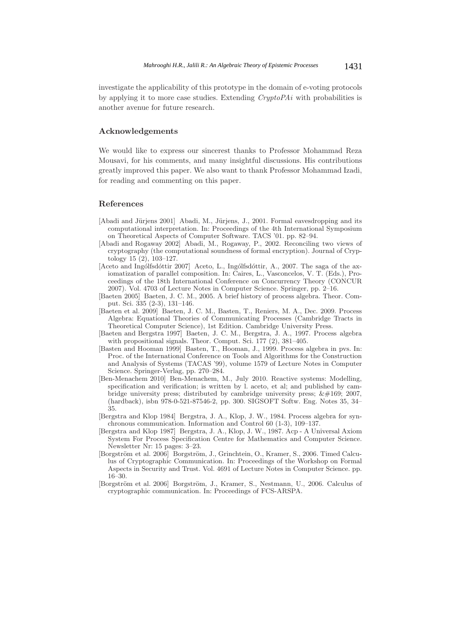investigate the applicability of this prototype in the domain of e-voting protocols by applying it to more case studies. Extending *CryptoPAi* with probabilities is another avenue for future research.

## **Acknowledgements**

We would like to express our sincerest thanks to Professor Mohammad Reza Mousavi, for his comments, and many insightful discussions. His contributions greatly improved this paper. We also want to thank Professor Mohammad Izadi, for reading and commenting on this paper.

### **References**

- [Abadi and Jürjens 2001] Abadi, M., Jürjens, J., 2001. Formal eavesdropping and its computational interpretation. In: Proceedings of the 4th International Symposium on Theoretical Aspects of Computer Software. TACS '01. pp. 82–94.
- [Abadi and Rogaway 2002] Abadi, M., Rogaway, P., 2002. Reconciling two views of cryptography (the computational soundness of formal encryption). Journal of Cryptology 15 (2), 103–127.
- [Aceto and Ingólfsdóttir 2007] Aceto, L., Ingólfsdóttir, A., 2007. The saga of the axiomatization of parallel composition. In: Caires, L., Vasconcelos, V. T. (Eds.), Proceedings of the 18th International Conference on Concurrency Theory (CONCUR 2007). Vol. 4703 of Lecture Notes in Computer Science. Springer, pp. 2–16.
- [Baeten 2005] Baeten, J. C. M., 2005. A brief history of process algebra. Theor. Comput. Sci. 335 (2-3), 131–146.
- [Baeten et al. 2009] Baeten, J. C. M., Basten, T., Reniers, M. A., Dec. 2009. Process Algebra: Equational Theories of Communicating Processes (Cambridge Tracts in Theoretical Computer Science), 1st Edition. Cambridge University Press.
- [Baeten and Bergstra 1997] Baeten, J. C. M., Bergstra, J. A., 1997. Process algebra with propositional signals. Theor. Comput. Sci. 177 (2), 381–405.
- [Basten and Hooman 1999] Basten, T., Hooman, J., 1999. Process algebra in pvs. In: Proc. of the International Conference on Tools and Algorithms for the Construction and Analysis of Systems (TACAS '99), volume 1579 of Lecture Notes in Computer Science. Springer-Verlag, pp. 270–284.
- [Ben-Menachem 2010] Ben-Menachem, M., July 2010. Reactive systems: Modelling, specification and verification; is written by l. aceto, et al; and published by cambridge university press; distributed by cambridge university press;  $\&\#169; 2007$ , (hardback), isbn 978-0-521-87546-2, pp. 300. SIGSOFT Softw. Eng. Notes 35, 34– 35.
- [Bergstra and Klop 1984] Bergstra, J. A., Klop, J. W., 1984. Process algebra for synchronous communication. Information and Control 60 (1-3), 109–137.
- [Bergstra and Klop 1987] Bergstra, J. A., Klop, J. W., 1987. Acp A Universal Axiom System For Process Specification Centre for Mathematics and Computer Science. Newsletter Nr: 15 pages: 3–23.
- [Borgström et al. 2006] Borgström, J., Grinchtein, O., Kramer, S., 2006. Timed Calculus of Cryptographic Communication. In: Proceedings of the Workshop on Formal Aspects in Security and Trust. Vol. 4691 of Lecture Notes in Computer Science. pp. 16–30.
- [Borgström et al. 2006] Borgström, J., Kramer, S., Nestmann, U., 2006. Calculus of cryptographic communication. In: Proceedings of FCS-ARSPA.